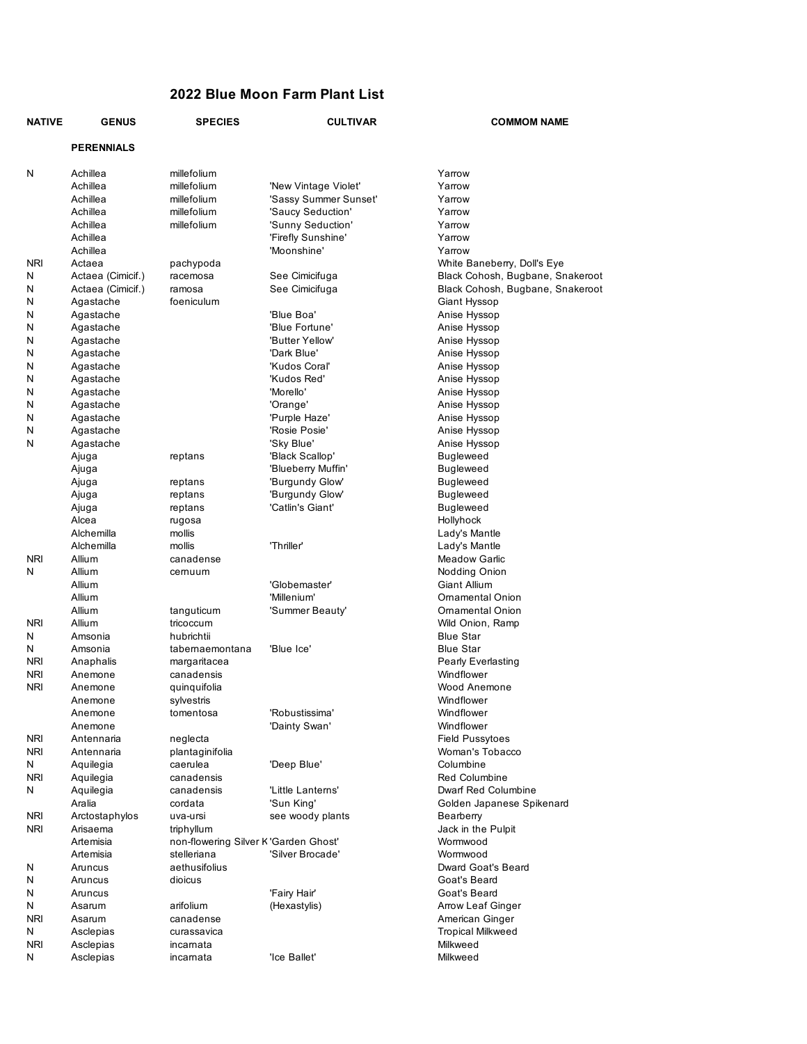# **2022 Blue Moon Farm Plant List**

| <b>NATIVE</b> | <b>GENUS</b>      | <b>SPECIES</b>                        | <b>CULTIVAR</b>       | <b>COMMOM NAME</b>               |
|---------------|-------------------|---------------------------------------|-----------------------|----------------------------------|
|               | <b>PERENNIALS</b> |                                       |                       |                                  |
| N             | Achillea          | millefolium                           |                       | Yarrow                           |
|               | Achillea          | millefolium                           | 'New Vintage Violet'  | Yarrow                           |
|               | Achillea          | millefolium                           | 'Sassy Summer Sunset' | Yarrow                           |
|               | Achillea          | millefolium                           | 'Saucy Seduction'     | Yarrow                           |
|               | Achillea          | millefolium                           | 'Sunny Seduction'     | Yarrow                           |
|               | Achillea          |                                       | 'Firefly Sunshine'    | Yarrow                           |
|               | Achillea          |                                       | 'Moonshine'           | Yarrow                           |
| NRI           | Actaea            | pachypoda                             |                       | White Baneberry, Doll's Eye      |
| N             | Actaea (Cimicif.) | racemosa                              | See Cimicifuga        | Black Cohosh, Bugbane, Snakeroot |
| N             | Actaea (Cimicif.) | ramosa                                | See Cimicifuga        | Black Cohosh, Bugbane, Snakeroot |
| Ν             | Agastache         | foeniculum                            |                       | Giant Hyssop                     |
| N             | Agastache         |                                       | 'Blue Boa'            | Anise Hyssop                     |
| N             | Agastache         |                                       | 'Blue Fortune'        | Anise Hyssop                     |
| N             | Agastache         |                                       | 'Butter Yellow'       | Anise Hyssop                     |
| N             | Agastache         |                                       | 'Dark Blue'           | Anise Hyssop                     |
| N             | Agastache         |                                       | 'Kudos Coral'         | Anise Hyssop                     |
| N             | Agastache         |                                       | 'Kudos Red'           | Anise Hyssop                     |
| Ν             | Agastache         |                                       | 'Morello'             | Anise Hyssop                     |
| N             | Agastache         |                                       | 'Orange'              | Anise Hyssop                     |
| N             | Agastache         |                                       | 'Purple Haze'         | Anise Hyssop                     |
| N             | Agastache         |                                       | 'Rosie Posie'         | Anise Hyssop                     |
| N             | Agastache         |                                       | 'Sky Blue'            | Anise Hyssop                     |
|               | Ajuga             | reptans                               | 'Black Scallop'       | <b>Bugleweed</b>                 |
|               | Ajuga             |                                       | 'Blueberry Muffin'    | Bugleweed                        |
|               | Ajuga             | reptans                               | 'Burgundy Glow'       | Bugleweed                        |
|               | Ajuga             | reptans                               | 'Burgundy Glow'       | <b>Bugleweed</b>                 |
|               | Ajuga             | reptans                               | 'Catlin's Giant'      | Bugleweed                        |
|               | Alcea             | rugosa                                |                       | Hollyhock                        |
|               | Alchemilla        | mollis                                |                       | Lady's Mantle                    |
|               | Alchemilla        | mollis                                | 'Thriller'            | Lady's Mantle                    |
| <b>NRI</b>    | Allium            | canadense                             |                       | Meadow Garlic                    |
| N             | Allium            | cernuum                               |                       | Nodding Onion                    |
|               | Allium            |                                       | 'Globemaster'         | Giant Allium                     |
|               | Allium            |                                       | 'Millenium'           | Ornamental Onion                 |
|               | Allium            | tanguticum                            | 'Summer Beauty'       | Ornamental Onion                 |
| <b>NRI</b>    | Allium            | tricoccum                             |                       | Wild Onion, Ramp                 |
| N             | Amsonia           | hubrichtii                            |                       | <b>Blue Star</b>                 |
| N             | Amsonia           | tabernaemontana                       | 'Blue Ice'            | Blue Star                        |
| <b>NRI</b>    | Anaphalis         | margaritacea                          |                       | Pearly Everlasting               |
| <b>NRI</b>    | Anemone           | canadensis                            |                       | Windflower                       |
| <b>NRI</b>    | Anemone           | quinquifolia                          |                       | Wood Anemone                     |
|               | Anemone           | sylvestris                            |                       | Windflower                       |
|               | Anemone           | tomentosa                             | 'Robustissima'        | Windflower                       |
|               | Anemone           |                                       | 'Dainty Swan'         | Windflower                       |
| <b>NRI</b>    | Antennaria        | neglecta                              |                       | <b>Field Pussytoes</b>           |
| <b>NRI</b>    | Antennaria        | plantaginifolia                       |                       | Woman's Tobacco                  |
| N             | Aquilegia         | caerulea                              | 'Deep Blue'           | Columbine                        |
| <b>NRI</b>    | Aquilegia         | canadensis                            |                       | <b>Red Columbine</b>             |
| N             | Aquilegia         | canadensis                            | 'Little Lanterns'     | Dwarf Red Columbine              |
|               | Aralia            | cordata                               | 'Sun King'            | Golden Japanese Spikenard        |
| <b>NRI</b>    | Arctostaphylos    | uva-ursi                              | see woody plants      | Bearberry                        |
| <b>NRI</b>    | Arisaema          | triphyllum                            |                       | Jack in the Pulpit               |
|               | Artemisia         | non-flowering Silver K 'Garden Ghost' |                       | Wormwood                         |
|               | Artemisia         | stelleriana                           | 'Silver Brocade'      | Wormwood                         |
| N             | Aruncus           | aethusifolius                         |                       | Dward Goat's Beard               |
| N             | Aruncus           | dioicus                               |                       | Goat's Beard                     |
| N             | Aruncus           |                                       | 'Fairy Hair'          | Goat's Beard                     |
| N             | Asarum            | arifolium                             | (Hexastylis)          | Arrow Leaf Ginger                |
| NRI           | Asarum            | canadense                             |                       | American Ginger                  |
| N             | Asclepias         | curassavica                           |                       | <b>Tropical Milkweed</b>         |
| <b>NRI</b>    | Asclepias         | incarnata                             |                       | Milkweed                         |
| Ν             | Asclepias         | incarnata                             | 'Ice Ballet'          | Milkweed                         |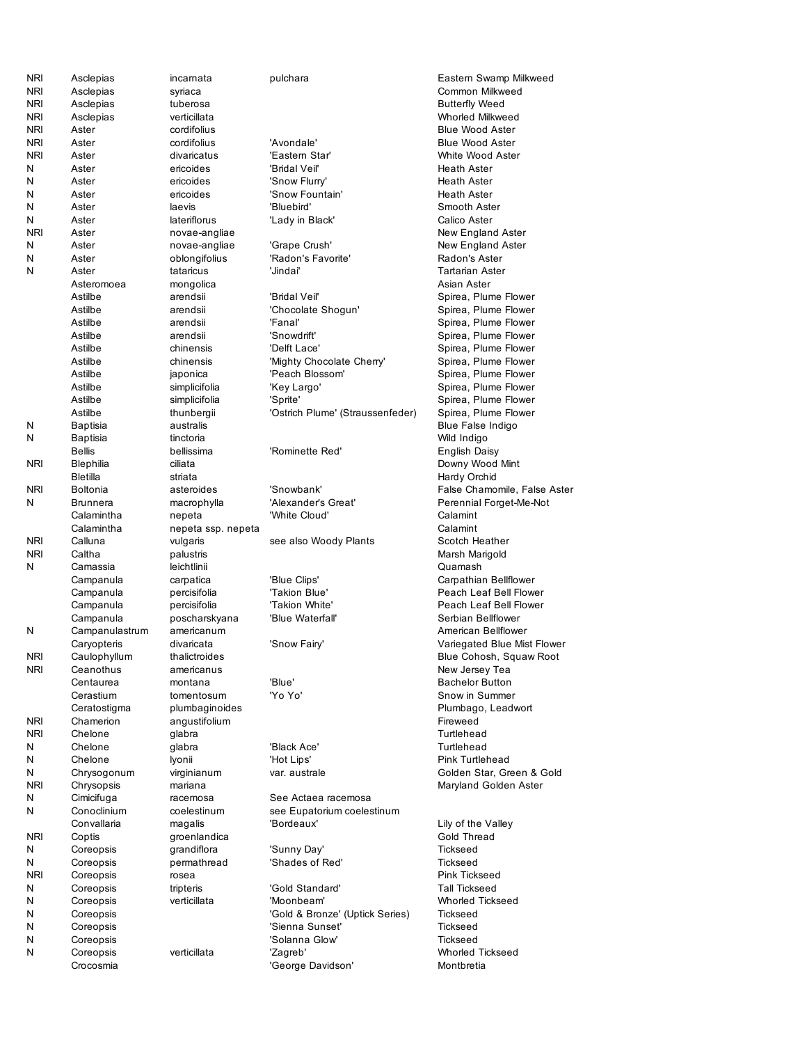| syriaca<br><b>NRI</b><br>Asclepias<br><b>Butterfly Weed</b><br>tuberosa<br><b>NRI</b><br>verticillata<br>Whorled Milkweed<br>Asclepias<br><b>NRI</b><br>Aster<br>cordifolius<br><b>Blue Wood Aster</b><br><b>NRI</b><br>Aster<br>cordifolius<br>'Avondale'<br><b>Blue Wood Aster</b><br><b>NRI</b><br>divaricatus<br>'Eastern Star'<br>White Wood Aster<br>Aster<br>N<br>ericoides<br>'Bridal Veil'<br>Aster<br><b>Heath Aster</b><br>N<br>Aster<br>ericoides<br><b>Heath Aster</b><br>'Snow Flurry'<br>N<br>ericoides<br>'Snow Fountain'<br>Aster<br><b>Heath Aster</b><br>Ν<br>'Bluebird'<br>Aster<br>laevis<br>Smooth Aster<br>N<br>lateriflorus<br>Calico Aster<br>Aster<br>'Lady in Black'<br><b>NRI</b><br>Aster<br>novae-angliae<br>New England Aster<br>N<br>'Grape Crush'<br>Aster<br>novae-angliae<br>New England Aster<br>N<br>oblongifolius<br>'Radon's Favorite'<br>Radon's Aster<br>Aster<br>N<br>Aster<br>tataricus<br>'Jindai'<br><b>Tartarian Aster</b><br>Asian Aster<br>Asteromoea<br>mongolica<br>Astilbe<br>'Bridal Veil'<br>Spirea, Plume Flower<br>arendsii<br>'Chocolate Shogun'<br>Spirea, Plume Flower<br>Astilbe<br>arendsii<br>Astilbe<br>'Fanal'<br>Spirea, Plume Flower<br>arendsii<br>Astilbe<br>arendsii<br>'Snowdrift'<br>Spirea, Plume Flower<br>Astilbe<br>'Delft Lace'<br>Spirea, Plume Flower<br>chinensis<br>chinensis<br>'Mighty Chocolate Cherry'<br>Spirea, Plume Flower<br>Astilbe<br>Astilbe<br>'Peach Blossom'<br>Spirea, Plume Flower<br>japonica<br>Astilbe<br>'Key Largo'<br>Spirea, Plume Flower<br>simplicifolia<br>Astilbe<br>'Sprite'<br>Spirea, Plume Flower<br>simplicifolia<br>Astilbe<br>'Ostrich Plume' (Straussenfeder)<br>Spirea, Plume Flower<br>thunbergii<br>N<br>australis<br><b>Blue False Indigo</b><br>Baptisia<br>N<br>tinctoria<br>Baptisia<br>Wild Indigo<br><b>Bellis</b><br>bellissima<br>'Rominette Red'<br>English Daisy<br><b>NRI</b><br>Downy Wood Mint<br>Blephilia<br>ciliata<br><b>Bletilla</b><br>Hardy Orchid<br>striata<br><b>NRI</b><br>asteroides<br>'Snowbank'<br>Boltonia<br>N<br>'Alexander's Great'<br>Brunnera<br>macrophylla<br>'White Cloud'<br>Calamintha<br>nepeta<br>Calamint<br>Calamintha<br>Calamint<br>nepeta ssp. nepeta<br>NRI<br>Calluna<br>Scotch Heather<br>vulgaris<br>see also Woody Plants<br>Caltha<br><b>NRI</b><br>Marsh Marigold<br>palustris<br>N<br>Camassia<br>Quamash<br>leichtlinii<br>'Blue Clips'<br>Campanula<br>carpatica<br>percisifolia<br>'Takion Blue'<br>Campanula<br>percisifolia<br>'Takion White'<br>Campanula<br>Serbian Bellflower<br>Campanula<br>poscharskyana<br>'Blue Waterfall'<br>N<br>Campanulastrum<br>americanum<br>American Bellflower<br>divaricata<br>'Snow Fairy'<br>Caryopteris<br>Variegated Blue Mist Flower<br><b>NRI</b><br>Caulophyllum<br>thalictroides<br>Blue Cohosh, Squaw Root<br>NRI<br>Ceanothus<br>americanus<br>New Jersey Tea<br>'Blue'<br><b>Bachelor Button</b><br>Centaurea<br>montana<br>'Yo Yo'<br>Snow in Summer<br>Cerastium<br>tomentosum<br>plumbaginoides<br>Plumbago, Leadwort<br>Ceratostigma<br><b>NRI</b><br>Chamerion<br>angustifolium<br>Fireweed<br><b>NRI</b><br>Chelone<br>glabra<br>Turtlehead<br>N<br>Chelone<br>glabra<br>'Black Ace'<br>Turtlehead<br>N<br>Chelone<br>lyonii<br>'Hot Lips'<br><b>Pink Turtlehead</b><br>Ν<br>Chrysogonum<br>virginianum<br>var. australe<br><b>NRI</b><br>Chrysopsis<br>mariana<br>Ν<br>Cimicifuga<br>racemosa<br>See Actaea racemosa<br>N<br>Conoclinium<br>coelestinum<br>see Eupatorium coelestinum<br>Convallaria<br>magalis<br>'Bordeaux'<br>Lily of the Valley<br>Gold Thread<br><b>NRI</b><br>Coptis<br>groenlandica<br>N<br>Coreopsis<br>grandiflora<br>'Sunny Day'<br><b>Tickseed</b><br>N<br>'Shades of Red'<br>Coreopsis<br>permathread<br><b>Tickseed</b><br><b>NRI</b><br>Coreopsis<br>Pink Tickseed<br>rosea<br>N<br>'Gold Standard'<br><b>Tall Tickseed</b><br>Coreopsis<br>tripteris<br>Whorled Tickseed<br>N<br>Coreopsis<br>verticillata<br>'Moonbeam'<br>N<br>Coreopsis<br>'Gold & Bronze' (Uptick Series)<br><b>Tickseed</b><br>Ν<br>Coreopsis<br>'Sienna Sunset'<br>Tickseed<br>N<br>Coreopsis<br>'Solanna Glow'<br><b>Tickseed</b><br>N<br>Whorled Tickseed<br>Coreopsis<br>verticillata<br>'Zagreb' | NRI        | Asclepias | incarnata | pulchara          | Eastern Swamp Milkweed       |
|-----------------------------------------------------------------------------------------------------------------------------------------------------------------------------------------------------------------------------------------------------------------------------------------------------------------------------------------------------------------------------------------------------------------------------------------------------------------------------------------------------------------------------------------------------------------------------------------------------------------------------------------------------------------------------------------------------------------------------------------------------------------------------------------------------------------------------------------------------------------------------------------------------------------------------------------------------------------------------------------------------------------------------------------------------------------------------------------------------------------------------------------------------------------------------------------------------------------------------------------------------------------------------------------------------------------------------------------------------------------------------------------------------------------------------------------------------------------------------------------------------------------------------------------------------------------------------------------------------------------------------------------------------------------------------------------------------------------------------------------------------------------------------------------------------------------------------------------------------------------------------------------------------------------------------------------------------------------------------------------------------------------------------------------------------------------------------------------------------------------------------------------------------------------------------------------------------------------------------------------------------------------------------------------------------------------------------------------------------------------------------------------------------------------------------------------------------------------------------------------------------------------------------------------------------------------------------------------------------------------------------------------------------------------------------------------------------------------------------------------------------------------------------------------------------------------------------------------------------------------------------------------------------------------------------------------------------------------------------------------------------------------------------------------------------------------------------------------------------------------------------------------------------------------------------------------------------------------------------------------------------------------------------------------------------------------------------------------------------------------------------------------------------------------------------------------------------------------------------------------------------------------------------------------------------------------------------------------------------------------------------------------------------------------------------------------------------------------------------------------------------------------------------------------------------------------------------------------------------------------------------------------------------------------------------------------------------------------------------------------------------------------------------------------------------------------------------------------------------------------------------------------------------------------------------------------------------------------------------------------------|------------|-----------|-----------|-------------------|------------------------------|
|                                                                                                                                                                                                                                                                                                                                                                                                                                                                                                                                                                                                                                                                                                                                                                                                                                                                                                                                                                                                                                                                                                                                                                                                                                                                                                                                                                                                                                                                                                                                                                                                                                                                                                                                                                                                                                                                                                                                                                                                                                                                                                                                                                                                                                                                                                                                                                                                                                                                                                                                                                                                                                                                                                                                                                                                                                                                                                                                                                                                                                                                                                                                                                                                                                                                                                                                                                                                                                                                                                                                                                                                                                                                                                                                                                                                                                                                                                                                                                                                                                                                                                                                                                                                                                               | <b>NRI</b> | Asclepias |           |                   | Common Milkweed              |
|                                                                                                                                                                                                                                                                                                                                                                                                                                                                                                                                                                                                                                                                                                                                                                                                                                                                                                                                                                                                                                                                                                                                                                                                                                                                                                                                                                                                                                                                                                                                                                                                                                                                                                                                                                                                                                                                                                                                                                                                                                                                                                                                                                                                                                                                                                                                                                                                                                                                                                                                                                                                                                                                                                                                                                                                                                                                                                                                                                                                                                                                                                                                                                                                                                                                                                                                                                                                                                                                                                                                                                                                                                                                                                                                                                                                                                                                                                                                                                                                                                                                                                                                                                                                                                               |            |           |           |                   |                              |
|                                                                                                                                                                                                                                                                                                                                                                                                                                                                                                                                                                                                                                                                                                                                                                                                                                                                                                                                                                                                                                                                                                                                                                                                                                                                                                                                                                                                                                                                                                                                                                                                                                                                                                                                                                                                                                                                                                                                                                                                                                                                                                                                                                                                                                                                                                                                                                                                                                                                                                                                                                                                                                                                                                                                                                                                                                                                                                                                                                                                                                                                                                                                                                                                                                                                                                                                                                                                                                                                                                                                                                                                                                                                                                                                                                                                                                                                                                                                                                                                                                                                                                                                                                                                                                               |            |           |           |                   |                              |
|                                                                                                                                                                                                                                                                                                                                                                                                                                                                                                                                                                                                                                                                                                                                                                                                                                                                                                                                                                                                                                                                                                                                                                                                                                                                                                                                                                                                                                                                                                                                                                                                                                                                                                                                                                                                                                                                                                                                                                                                                                                                                                                                                                                                                                                                                                                                                                                                                                                                                                                                                                                                                                                                                                                                                                                                                                                                                                                                                                                                                                                                                                                                                                                                                                                                                                                                                                                                                                                                                                                                                                                                                                                                                                                                                                                                                                                                                                                                                                                                                                                                                                                                                                                                                                               |            |           |           |                   |                              |
|                                                                                                                                                                                                                                                                                                                                                                                                                                                                                                                                                                                                                                                                                                                                                                                                                                                                                                                                                                                                                                                                                                                                                                                                                                                                                                                                                                                                                                                                                                                                                                                                                                                                                                                                                                                                                                                                                                                                                                                                                                                                                                                                                                                                                                                                                                                                                                                                                                                                                                                                                                                                                                                                                                                                                                                                                                                                                                                                                                                                                                                                                                                                                                                                                                                                                                                                                                                                                                                                                                                                                                                                                                                                                                                                                                                                                                                                                                                                                                                                                                                                                                                                                                                                                                               |            |           |           |                   |                              |
|                                                                                                                                                                                                                                                                                                                                                                                                                                                                                                                                                                                                                                                                                                                                                                                                                                                                                                                                                                                                                                                                                                                                                                                                                                                                                                                                                                                                                                                                                                                                                                                                                                                                                                                                                                                                                                                                                                                                                                                                                                                                                                                                                                                                                                                                                                                                                                                                                                                                                                                                                                                                                                                                                                                                                                                                                                                                                                                                                                                                                                                                                                                                                                                                                                                                                                                                                                                                                                                                                                                                                                                                                                                                                                                                                                                                                                                                                                                                                                                                                                                                                                                                                                                                                                               |            |           |           |                   |                              |
|                                                                                                                                                                                                                                                                                                                                                                                                                                                                                                                                                                                                                                                                                                                                                                                                                                                                                                                                                                                                                                                                                                                                                                                                                                                                                                                                                                                                                                                                                                                                                                                                                                                                                                                                                                                                                                                                                                                                                                                                                                                                                                                                                                                                                                                                                                                                                                                                                                                                                                                                                                                                                                                                                                                                                                                                                                                                                                                                                                                                                                                                                                                                                                                                                                                                                                                                                                                                                                                                                                                                                                                                                                                                                                                                                                                                                                                                                                                                                                                                                                                                                                                                                                                                                                               |            |           |           |                   |                              |
|                                                                                                                                                                                                                                                                                                                                                                                                                                                                                                                                                                                                                                                                                                                                                                                                                                                                                                                                                                                                                                                                                                                                                                                                                                                                                                                                                                                                                                                                                                                                                                                                                                                                                                                                                                                                                                                                                                                                                                                                                                                                                                                                                                                                                                                                                                                                                                                                                                                                                                                                                                                                                                                                                                                                                                                                                                                                                                                                                                                                                                                                                                                                                                                                                                                                                                                                                                                                                                                                                                                                                                                                                                                                                                                                                                                                                                                                                                                                                                                                                                                                                                                                                                                                                                               |            |           |           |                   |                              |
|                                                                                                                                                                                                                                                                                                                                                                                                                                                                                                                                                                                                                                                                                                                                                                                                                                                                                                                                                                                                                                                                                                                                                                                                                                                                                                                                                                                                                                                                                                                                                                                                                                                                                                                                                                                                                                                                                                                                                                                                                                                                                                                                                                                                                                                                                                                                                                                                                                                                                                                                                                                                                                                                                                                                                                                                                                                                                                                                                                                                                                                                                                                                                                                                                                                                                                                                                                                                                                                                                                                                                                                                                                                                                                                                                                                                                                                                                                                                                                                                                                                                                                                                                                                                                                               |            |           |           |                   |                              |
|                                                                                                                                                                                                                                                                                                                                                                                                                                                                                                                                                                                                                                                                                                                                                                                                                                                                                                                                                                                                                                                                                                                                                                                                                                                                                                                                                                                                                                                                                                                                                                                                                                                                                                                                                                                                                                                                                                                                                                                                                                                                                                                                                                                                                                                                                                                                                                                                                                                                                                                                                                                                                                                                                                                                                                                                                                                                                                                                                                                                                                                                                                                                                                                                                                                                                                                                                                                                                                                                                                                                                                                                                                                                                                                                                                                                                                                                                                                                                                                                                                                                                                                                                                                                                                               |            |           |           |                   |                              |
|                                                                                                                                                                                                                                                                                                                                                                                                                                                                                                                                                                                                                                                                                                                                                                                                                                                                                                                                                                                                                                                                                                                                                                                                                                                                                                                                                                                                                                                                                                                                                                                                                                                                                                                                                                                                                                                                                                                                                                                                                                                                                                                                                                                                                                                                                                                                                                                                                                                                                                                                                                                                                                                                                                                                                                                                                                                                                                                                                                                                                                                                                                                                                                                                                                                                                                                                                                                                                                                                                                                                                                                                                                                                                                                                                                                                                                                                                                                                                                                                                                                                                                                                                                                                                                               |            |           |           |                   |                              |
|                                                                                                                                                                                                                                                                                                                                                                                                                                                                                                                                                                                                                                                                                                                                                                                                                                                                                                                                                                                                                                                                                                                                                                                                                                                                                                                                                                                                                                                                                                                                                                                                                                                                                                                                                                                                                                                                                                                                                                                                                                                                                                                                                                                                                                                                                                                                                                                                                                                                                                                                                                                                                                                                                                                                                                                                                                                                                                                                                                                                                                                                                                                                                                                                                                                                                                                                                                                                                                                                                                                                                                                                                                                                                                                                                                                                                                                                                                                                                                                                                                                                                                                                                                                                                                               |            |           |           |                   |                              |
|                                                                                                                                                                                                                                                                                                                                                                                                                                                                                                                                                                                                                                                                                                                                                                                                                                                                                                                                                                                                                                                                                                                                                                                                                                                                                                                                                                                                                                                                                                                                                                                                                                                                                                                                                                                                                                                                                                                                                                                                                                                                                                                                                                                                                                                                                                                                                                                                                                                                                                                                                                                                                                                                                                                                                                                                                                                                                                                                                                                                                                                                                                                                                                                                                                                                                                                                                                                                                                                                                                                                                                                                                                                                                                                                                                                                                                                                                                                                                                                                                                                                                                                                                                                                                                               |            |           |           |                   |                              |
|                                                                                                                                                                                                                                                                                                                                                                                                                                                                                                                                                                                                                                                                                                                                                                                                                                                                                                                                                                                                                                                                                                                                                                                                                                                                                                                                                                                                                                                                                                                                                                                                                                                                                                                                                                                                                                                                                                                                                                                                                                                                                                                                                                                                                                                                                                                                                                                                                                                                                                                                                                                                                                                                                                                                                                                                                                                                                                                                                                                                                                                                                                                                                                                                                                                                                                                                                                                                                                                                                                                                                                                                                                                                                                                                                                                                                                                                                                                                                                                                                                                                                                                                                                                                                                               |            |           |           |                   |                              |
|                                                                                                                                                                                                                                                                                                                                                                                                                                                                                                                                                                                                                                                                                                                                                                                                                                                                                                                                                                                                                                                                                                                                                                                                                                                                                                                                                                                                                                                                                                                                                                                                                                                                                                                                                                                                                                                                                                                                                                                                                                                                                                                                                                                                                                                                                                                                                                                                                                                                                                                                                                                                                                                                                                                                                                                                                                                                                                                                                                                                                                                                                                                                                                                                                                                                                                                                                                                                                                                                                                                                                                                                                                                                                                                                                                                                                                                                                                                                                                                                                                                                                                                                                                                                                                               |            |           |           |                   |                              |
|                                                                                                                                                                                                                                                                                                                                                                                                                                                                                                                                                                                                                                                                                                                                                                                                                                                                                                                                                                                                                                                                                                                                                                                                                                                                                                                                                                                                                                                                                                                                                                                                                                                                                                                                                                                                                                                                                                                                                                                                                                                                                                                                                                                                                                                                                                                                                                                                                                                                                                                                                                                                                                                                                                                                                                                                                                                                                                                                                                                                                                                                                                                                                                                                                                                                                                                                                                                                                                                                                                                                                                                                                                                                                                                                                                                                                                                                                                                                                                                                                                                                                                                                                                                                                                               |            |           |           |                   |                              |
|                                                                                                                                                                                                                                                                                                                                                                                                                                                                                                                                                                                                                                                                                                                                                                                                                                                                                                                                                                                                                                                                                                                                                                                                                                                                                                                                                                                                                                                                                                                                                                                                                                                                                                                                                                                                                                                                                                                                                                                                                                                                                                                                                                                                                                                                                                                                                                                                                                                                                                                                                                                                                                                                                                                                                                                                                                                                                                                                                                                                                                                                                                                                                                                                                                                                                                                                                                                                                                                                                                                                                                                                                                                                                                                                                                                                                                                                                                                                                                                                                                                                                                                                                                                                                                               |            |           |           |                   |                              |
|                                                                                                                                                                                                                                                                                                                                                                                                                                                                                                                                                                                                                                                                                                                                                                                                                                                                                                                                                                                                                                                                                                                                                                                                                                                                                                                                                                                                                                                                                                                                                                                                                                                                                                                                                                                                                                                                                                                                                                                                                                                                                                                                                                                                                                                                                                                                                                                                                                                                                                                                                                                                                                                                                                                                                                                                                                                                                                                                                                                                                                                                                                                                                                                                                                                                                                                                                                                                                                                                                                                                                                                                                                                                                                                                                                                                                                                                                                                                                                                                                                                                                                                                                                                                                                               |            |           |           |                   |                              |
|                                                                                                                                                                                                                                                                                                                                                                                                                                                                                                                                                                                                                                                                                                                                                                                                                                                                                                                                                                                                                                                                                                                                                                                                                                                                                                                                                                                                                                                                                                                                                                                                                                                                                                                                                                                                                                                                                                                                                                                                                                                                                                                                                                                                                                                                                                                                                                                                                                                                                                                                                                                                                                                                                                                                                                                                                                                                                                                                                                                                                                                                                                                                                                                                                                                                                                                                                                                                                                                                                                                                                                                                                                                                                                                                                                                                                                                                                                                                                                                                                                                                                                                                                                                                                                               |            |           |           |                   |                              |
|                                                                                                                                                                                                                                                                                                                                                                                                                                                                                                                                                                                                                                                                                                                                                                                                                                                                                                                                                                                                                                                                                                                                                                                                                                                                                                                                                                                                                                                                                                                                                                                                                                                                                                                                                                                                                                                                                                                                                                                                                                                                                                                                                                                                                                                                                                                                                                                                                                                                                                                                                                                                                                                                                                                                                                                                                                                                                                                                                                                                                                                                                                                                                                                                                                                                                                                                                                                                                                                                                                                                                                                                                                                                                                                                                                                                                                                                                                                                                                                                                                                                                                                                                                                                                                               |            |           |           |                   |                              |
|                                                                                                                                                                                                                                                                                                                                                                                                                                                                                                                                                                                                                                                                                                                                                                                                                                                                                                                                                                                                                                                                                                                                                                                                                                                                                                                                                                                                                                                                                                                                                                                                                                                                                                                                                                                                                                                                                                                                                                                                                                                                                                                                                                                                                                                                                                                                                                                                                                                                                                                                                                                                                                                                                                                                                                                                                                                                                                                                                                                                                                                                                                                                                                                                                                                                                                                                                                                                                                                                                                                                                                                                                                                                                                                                                                                                                                                                                                                                                                                                                                                                                                                                                                                                                                               |            |           |           |                   |                              |
|                                                                                                                                                                                                                                                                                                                                                                                                                                                                                                                                                                                                                                                                                                                                                                                                                                                                                                                                                                                                                                                                                                                                                                                                                                                                                                                                                                                                                                                                                                                                                                                                                                                                                                                                                                                                                                                                                                                                                                                                                                                                                                                                                                                                                                                                                                                                                                                                                                                                                                                                                                                                                                                                                                                                                                                                                                                                                                                                                                                                                                                                                                                                                                                                                                                                                                                                                                                                                                                                                                                                                                                                                                                                                                                                                                                                                                                                                                                                                                                                                                                                                                                                                                                                                                               |            |           |           |                   |                              |
|                                                                                                                                                                                                                                                                                                                                                                                                                                                                                                                                                                                                                                                                                                                                                                                                                                                                                                                                                                                                                                                                                                                                                                                                                                                                                                                                                                                                                                                                                                                                                                                                                                                                                                                                                                                                                                                                                                                                                                                                                                                                                                                                                                                                                                                                                                                                                                                                                                                                                                                                                                                                                                                                                                                                                                                                                                                                                                                                                                                                                                                                                                                                                                                                                                                                                                                                                                                                                                                                                                                                                                                                                                                                                                                                                                                                                                                                                                                                                                                                                                                                                                                                                                                                                                               |            |           |           |                   |                              |
|                                                                                                                                                                                                                                                                                                                                                                                                                                                                                                                                                                                                                                                                                                                                                                                                                                                                                                                                                                                                                                                                                                                                                                                                                                                                                                                                                                                                                                                                                                                                                                                                                                                                                                                                                                                                                                                                                                                                                                                                                                                                                                                                                                                                                                                                                                                                                                                                                                                                                                                                                                                                                                                                                                                                                                                                                                                                                                                                                                                                                                                                                                                                                                                                                                                                                                                                                                                                                                                                                                                                                                                                                                                                                                                                                                                                                                                                                                                                                                                                                                                                                                                                                                                                                                               |            |           |           |                   |                              |
|                                                                                                                                                                                                                                                                                                                                                                                                                                                                                                                                                                                                                                                                                                                                                                                                                                                                                                                                                                                                                                                                                                                                                                                                                                                                                                                                                                                                                                                                                                                                                                                                                                                                                                                                                                                                                                                                                                                                                                                                                                                                                                                                                                                                                                                                                                                                                                                                                                                                                                                                                                                                                                                                                                                                                                                                                                                                                                                                                                                                                                                                                                                                                                                                                                                                                                                                                                                                                                                                                                                                                                                                                                                                                                                                                                                                                                                                                                                                                                                                                                                                                                                                                                                                                                               |            |           |           |                   |                              |
|                                                                                                                                                                                                                                                                                                                                                                                                                                                                                                                                                                                                                                                                                                                                                                                                                                                                                                                                                                                                                                                                                                                                                                                                                                                                                                                                                                                                                                                                                                                                                                                                                                                                                                                                                                                                                                                                                                                                                                                                                                                                                                                                                                                                                                                                                                                                                                                                                                                                                                                                                                                                                                                                                                                                                                                                                                                                                                                                                                                                                                                                                                                                                                                                                                                                                                                                                                                                                                                                                                                                                                                                                                                                                                                                                                                                                                                                                                                                                                                                                                                                                                                                                                                                                                               |            |           |           |                   |                              |
|                                                                                                                                                                                                                                                                                                                                                                                                                                                                                                                                                                                                                                                                                                                                                                                                                                                                                                                                                                                                                                                                                                                                                                                                                                                                                                                                                                                                                                                                                                                                                                                                                                                                                                                                                                                                                                                                                                                                                                                                                                                                                                                                                                                                                                                                                                                                                                                                                                                                                                                                                                                                                                                                                                                                                                                                                                                                                                                                                                                                                                                                                                                                                                                                                                                                                                                                                                                                                                                                                                                                                                                                                                                                                                                                                                                                                                                                                                                                                                                                                                                                                                                                                                                                                                               |            |           |           |                   |                              |
|                                                                                                                                                                                                                                                                                                                                                                                                                                                                                                                                                                                                                                                                                                                                                                                                                                                                                                                                                                                                                                                                                                                                                                                                                                                                                                                                                                                                                                                                                                                                                                                                                                                                                                                                                                                                                                                                                                                                                                                                                                                                                                                                                                                                                                                                                                                                                                                                                                                                                                                                                                                                                                                                                                                                                                                                                                                                                                                                                                                                                                                                                                                                                                                                                                                                                                                                                                                                                                                                                                                                                                                                                                                                                                                                                                                                                                                                                                                                                                                                                                                                                                                                                                                                                                               |            |           |           |                   |                              |
|                                                                                                                                                                                                                                                                                                                                                                                                                                                                                                                                                                                                                                                                                                                                                                                                                                                                                                                                                                                                                                                                                                                                                                                                                                                                                                                                                                                                                                                                                                                                                                                                                                                                                                                                                                                                                                                                                                                                                                                                                                                                                                                                                                                                                                                                                                                                                                                                                                                                                                                                                                                                                                                                                                                                                                                                                                                                                                                                                                                                                                                                                                                                                                                                                                                                                                                                                                                                                                                                                                                                                                                                                                                                                                                                                                                                                                                                                                                                                                                                                                                                                                                                                                                                                                               |            |           |           |                   |                              |
|                                                                                                                                                                                                                                                                                                                                                                                                                                                                                                                                                                                                                                                                                                                                                                                                                                                                                                                                                                                                                                                                                                                                                                                                                                                                                                                                                                                                                                                                                                                                                                                                                                                                                                                                                                                                                                                                                                                                                                                                                                                                                                                                                                                                                                                                                                                                                                                                                                                                                                                                                                                                                                                                                                                                                                                                                                                                                                                                                                                                                                                                                                                                                                                                                                                                                                                                                                                                                                                                                                                                                                                                                                                                                                                                                                                                                                                                                                                                                                                                                                                                                                                                                                                                                                               |            |           |           |                   |                              |
|                                                                                                                                                                                                                                                                                                                                                                                                                                                                                                                                                                                                                                                                                                                                                                                                                                                                                                                                                                                                                                                                                                                                                                                                                                                                                                                                                                                                                                                                                                                                                                                                                                                                                                                                                                                                                                                                                                                                                                                                                                                                                                                                                                                                                                                                                                                                                                                                                                                                                                                                                                                                                                                                                                                                                                                                                                                                                                                                                                                                                                                                                                                                                                                                                                                                                                                                                                                                                                                                                                                                                                                                                                                                                                                                                                                                                                                                                                                                                                                                                                                                                                                                                                                                                                               |            |           |           |                   |                              |
|                                                                                                                                                                                                                                                                                                                                                                                                                                                                                                                                                                                                                                                                                                                                                                                                                                                                                                                                                                                                                                                                                                                                                                                                                                                                                                                                                                                                                                                                                                                                                                                                                                                                                                                                                                                                                                                                                                                                                                                                                                                                                                                                                                                                                                                                                                                                                                                                                                                                                                                                                                                                                                                                                                                                                                                                                                                                                                                                                                                                                                                                                                                                                                                                                                                                                                                                                                                                                                                                                                                                                                                                                                                                                                                                                                                                                                                                                                                                                                                                                                                                                                                                                                                                                                               |            |           |           |                   |                              |
|                                                                                                                                                                                                                                                                                                                                                                                                                                                                                                                                                                                                                                                                                                                                                                                                                                                                                                                                                                                                                                                                                                                                                                                                                                                                                                                                                                                                                                                                                                                                                                                                                                                                                                                                                                                                                                                                                                                                                                                                                                                                                                                                                                                                                                                                                                                                                                                                                                                                                                                                                                                                                                                                                                                                                                                                                                                                                                                                                                                                                                                                                                                                                                                                                                                                                                                                                                                                                                                                                                                                                                                                                                                                                                                                                                                                                                                                                                                                                                                                                                                                                                                                                                                                                                               |            |           |           |                   | False Chamomile, False Aster |
|                                                                                                                                                                                                                                                                                                                                                                                                                                                                                                                                                                                                                                                                                                                                                                                                                                                                                                                                                                                                                                                                                                                                                                                                                                                                                                                                                                                                                                                                                                                                                                                                                                                                                                                                                                                                                                                                                                                                                                                                                                                                                                                                                                                                                                                                                                                                                                                                                                                                                                                                                                                                                                                                                                                                                                                                                                                                                                                                                                                                                                                                                                                                                                                                                                                                                                                                                                                                                                                                                                                                                                                                                                                                                                                                                                                                                                                                                                                                                                                                                                                                                                                                                                                                                                               |            |           |           |                   | Perennial Forget-Me-Not      |
|                                                                                                                                                                                                                                                                                                                                                                                                                                                                                                                                                                                                                                                                                                                                                                                                                                                                                                                                                                                                                                                                                                                                                                                                                                                                                                                                                                                                                                                                                                                                                                                                                                                                                                                                                                                                                                                                                                                                                                                                                                                                                                                                                                                                                                                                                                                                                                                                                                                                                                                                                                                                                                                                                                                                                                                                                                                                                                                                                                                                                                                                                                                                                                                                                                                                                                                                                                                                                                                                                                                                                                                                                                                                                                                                                                                                                                                                                                                                                                                                                                                                                                                                                                                                                                               |            |           |           |                   |                              |
|                                                                                                                                                                                                                                                                                                                                                                                                                                                                                                                                                                                                                                                                                                                                                                                                                                                                                                                                                                                                                                                                                                                                                                                                                                                                                                                                                                                                                                                                                                                                                                                                                                                                                                                                                                                                                                                                                                                                                                                                                                                                                                                                                                                                                                                                                                                                                                                                                                                                                                                                                                                                                                                                                                                                                                                                                                                                                                                                                                                                                                                                                                                                                                                                                                                                                                                                                                                                                                                                                                                                                                                                                                                                                                                                                                                                                                                                                                                                                                                                                                                                                                                                                                                                                                               |            |           |           |                   |                              |
|                                                                                                                                                                                                                                                                                                                                                                                                                                                                                                                                                                                                                                                                                                                                                                                                                                                                                                                                                                                                                                                                                                                                                                                                                                                                                                                                                                                                                                                                                                                                                                                                                                                                                                                                                                                                                                                                                                                                                                                                                                                                                                                                                                                                                                                                                                                                                                                                                                                                                                                                                                                                                                                                                                                                                                                                                                                                                                                                                                                                                                                                                                                                                                                                                                                                                                                                                                                                                                                                                                                                                                                                                                                                                                                                                                                                                                                                                                                                                                                                                                                                                                                                                                                                                                               |            |           |           |                   |                              |
|                                                                                                                                                                                                                                                                                                                                                                                                                                                                                                                                                                                                                                                                                                                                                                                                                                                                                                                                                                                                                                                                                                                                                                                                                                                                                                                                                                                                                                                                                                                                                                                                                                                                                                                                                                                                                                                                                                                                                                                                                                                                                                                                                                                                                                                                                                                                                                                                                                                                                                                                                                                                                                                                                                                                                                                                                                                                                                                                                                                                                                                                                                                                                                                                                                                                                                                                                                                                                                                                                                                                                                                                                                                                                                                                                                                                                                                                                                                                                                                                                                                                                                                                                                                                                                               |            |           |           |                   |                              |
|                                                                                                                                                                                                                                                                                                                                                                                                                                                                                                                                                                                                                                                                                                                                                                                                                                                                                                                                                                                                                                                                                                                                                                                                                                                                                                                                                                                                                                                                                                                                                                                                                                                                                                                                                                                                                                                                                                                                                                                                                                                                                                                                                                                                                                                                                                                                                                                                                                                                                                                                                                                                                                                                                                                                                                                                                                                                                                                                                                                                                                                                                                                                                                                                                                                                                                                                                                                                                                                                                                                                                                                                                                                                                                                                                                                                                                                                                                                                                                                                                                                                                                                                                                                                                                               |            |           |           |                   |                              |
|                                                                                                                                                                                                                                                                                                                                                                                                                                                                                                                                                                                                                                                                                                                                                                                                                                                                                                                                                                                                                                                                                                                                                                                                                                                                                                                                                                                                                                                                                                                                                                                                                                                                                                                                                                                                                                                                                                                                                                                                                                                                                                                                                                                                                                                                                                                                                                                                                                                                                                                                                                                                                                                                                                                                                                                                                                                                                                                                                                                                                                                                                                                                                                                                                                                                                                                                                                                                                                                                                                                                                                                                                                                                                                                                                                                                                                                                                                                                                                                                                                                                                                                                                                                                                                               |            |           |           |                   | Carpathian Bellflower        |
|                                                                                                                                                                                                                                                                                                                                                                                                                                                                                                                                                                                                                                                                                                                                                                                                                                                                                                                                                                                                                                                                                                                                                                                                                                                                                                                                                                                                                                                                                                                                                                                                                                                                                                                                                                                                                                                                                                                                                                                                                                                                                                                                                                                                                                                                                                                                                                                                                                                                                                                                                                                                                                                                                                                                                                                                                                                                                                                                                                                                                                                                                                                                                                                                                                                                                                                                                                                                                                                                                                                                                                                                                                                                                                                                                                                                                                                                                                                                                                                                                                                                                                                                                                                                                                               |            |           |           |                   | Peach Leaf Bell Flower       |
|                                                                                                                                                                                                                                                                                                                                                                                                                                                                                                                                                                                                                                                                                                                                                                                                                                                                                                                                                                                                                                                                                                                                                                                                                                                                                                                                                                                                                                                                                                                                                                                                                                                                                                                                                                                                                                                                                                                                                                                                                                                                                                                                                                                                                                                                                                                                                                                                                                                                                                                                                                                                                                                                                                                                                                                                                                                                                                                                                                                                                                                                                                                                                                                                                                                                                                                                                                                                                                                                                                                                                                                                                                                                                                                                                                                                                                                                                                                                                                                                                                                                                                                                                                                                                                               |            |           |           |                   | Peach Leaf Bell Flower       |
|                                                                                                                                                                                                                                                                                                                                                                                                                                                                                                                                                                                                                                                                                                                                                                                                                                                                                                                                                                                                                                                                                                                                                                                                                                                                                                                                                                                                                                                                                                                                                                                                                                                                                                                                                                                                                                                                                                                                                                                                                                                                                                                                                                                                                                                                                                                                                                                                                                                                                                                                                                                                                                                                                                                                                                                                                                                                                                                                                                                                                                                                                                                                                                                                                                                                                                                                                                                                                                                                                                                                                                                                                                                                                                                                                                                                                                                                                                                                                                                                                                                                                                                                                                                                                                               |            |           |           |                   |                              |
|                                                                                                                                                                                                                                                                                                                                                                                                                                                                                                                                                                                                                                                                                                                                                                                                                                                                                                                                                                                                                                                                                                                                                                                                                                                                                                                                                                                                                                                                                                                                                                                                                                                                                                                                                                                                                                                                                                                                                                                                                                                                                                                                                                                                                                                                                                                                                                                                                                                                                                                                                                                                                                                                                                                                                                                                                                                                                                                                                                                                                                                                                                                                                                                                                                                                                                                                                                                                                                                                                                                                                                                                                                                                                                                                                                                                                                                                                                                                                                                                                                                                                                                                                                                                                                               |            |           |           |                   |                              |
|                                                                                                                                                                                                                                                                                                                                                                                                                                                                                                                                                                                                                                                                                                                                                                                                                                                                                                                                                                                                                                                                                                                                                                                                                                                                                                                                                                                                                                                                                                                                                                                                                                                                                                                                                                                                                                                                                                                                                                                                                                                                                                                                                                                                                                                                                                                                                                                                                                                                                                                                                                                                                                                                                                                                                                                                                                                                                                                                                                                                                                                                                                                                                                                                                                                                                                                                                                                                                                                                                                                                                                                                                                                                                                                                                                                                                                                                                                                                                                                                                                                                                                                                                                                                                                               |            |           |           |                   |                              |
|                                                                                                                                                                                                                                                                                                                                                                                                                                                                                                                                                                                                                                                                                                                                                                                                                                                                                                                                                                                                                                                                                                                                                                                                                                                                                                                                                                                                                                                                                                                                                                                                                                                                                                                                                                                                                                                                                                                                                                                                                                                                                                                                                                                                                                                                                                                                                                                                                                                                                                                                                                                                                                                                                                                                                                                                                                                                                                                                                                                                                                                                                                                                                                                                                                                                                                                                                                                                                                                                                                                                                                                                                                                                                                                                                                                                                                                                                                                                                                                                                                                                                                                                                                                                                                               |            |           |           |                   |                              |
|                                                                                                                                                                                                                                                                                                                                                                                                                                                                                                                                                                                                                                                                                                                                                                                                                                                                                                                                                                                                                                                                                                                                                                                                                                                                                                                                                                                                                                                                                                                                                                                                                                                                                                                                                                                                                                                                                                                                                                                                                                                                                                                                                                                                                                                                                                                                                                                                                                                                                                                                                                                                                                                                                                                                                                                                                                                                                                                                                                                                                                                                                                                                                                                                                                                                                                                                                                                                                                                                                                                                                                                                                                                                                                                                                                                                                                                                                                                                                                                                                                                                                                                                                                                                                                               |            |           |           |                   |                              |
|                                                                                                                                                                                                                                                                                                                                                                                                                                                                                                                                                                                                                                                                                                                                                                                                                                                                                                                                                                                                                                                                                                                                                                                                                                                                                                                                                                                                                                                                                                                                                                                                                                                                                                                                                                                                                                                                                                                                                                                                                                                                                                                                                                                                                                                                                                                                                                                                                                                                                                                                                                                                                                                                                                                                                                                                                                                                                                                                                                                                                                                                                                                                                                                                                                                                                                                                                                                                                                                                                                                                                                                                                                                                                                                                                                                                                                                                                                                                                                                                                                                                                                                                                                                                                                               |            |           |           |                   |                              |
|                                                                                                                                                                                                                                                                                                                                                                                                                                                                                                                                                                                                                                                                                                                                                                                                                                                                                                                                                                                                                                                                                                                                                                                                                                                                                                                                                                                                                                                                                                                                                                                                                                                                                                                                                                                                                                                                                                                                                                                                                                                                                                                                                                                                                                                                                                                                                                                                                                                                                                                                                                                                                                                                                                                                                                                                                                                                                                                                                                                                                                                                                                                                                                                                                                                                                                                                                                                                                                                                                                                                                                                                                                                                                                                                                                                                                                                                                                                                                                                                                                                                                                                                                                                                                                               |            |           |           |                   |                              |
|                                                                                                                                                                                                                                                                                                                                                                                                                                                                                                                                                                                                                                                                                                                                                                                                                                                                                                                                                                                                                                                                                                                                                                                                                                                                                                                                                                                                                                                                                                                                                                                                                                                                                                                                                                                                                                                                                                                                                                                                                                                                                                                                                                                                                                                                                                                                                                                                                                                                                                                                                                                                                                                                                                                                                                                                                                                                                                                                                                                                                                                                                                                                                                                                                                                                                                                                                                                                                                                                                                                                                                                                                                                                                                                                                                                                                                                                                                                                                                                                                                                                                                                                                                                                                                               |            |           |           |                   |                              |
|                                                                                                                                                                                                                                                                                                                                                                                                                                                                                                                                                                                                                                                                                                                                                                                                                                                                                                                                                                                                                                                                                                                                                                                                                                                                                                                                                                                                                                                                                                                                                                                                                                                                                                                                                                                                                                                                                                                                                                                                                                                                                                                                                                                                                                                                                                                                                                                                                                                                                                                                                                                                                                                                                                                                                                                                                                                                                                                                                                                                                                                                                                                                                                                                                                                                                                                                                                                                                                                                                                                                                                                                                                                                                                                                                                                                                                                                                                                                                                                                                                                                                                                                                                                                                                               |            |           |           |                   |                              |
|                                                                                                                                                                                                                                                                                                                                                                                                                                                                                                                                                                                                                                                                                                                                                                                                                                                                                                                                                                                                                                                                                                                                                                                                                                                                                                                                                                                                                                                                                                                                                                                                                                                                                                                                                                                                                                                                                                                                                                                                                                                                                                                                                                                                                                                                                                                                                                                                                                                                                                                                                                                                                                                                                                                                                                                                                                                                                                                                                                                                                                                                                                                                                                                                                                                                                                                                                                                                                                                                                                                                                                                                                                                                                                                                                                                                                                                                                                                                                                                                                                                                                                                                                                                                                                               |            |           |           |                   |                              |
|                                                                                                                                                                                                                                                                                                                                                                                                                                                                                                                                                                                                                                                                                                                                                                                                                                                                                                                                                                                                                                                                                                                                                                                                                                                                                                                                                                                                                                                                                                                                                                                                                                                                                                                                                                                                                                                                                                                                                                                                                                                                                                                                                                                                                                                                                                                                                                                                                                                                                                                                                                                                                                                                                                                                                                                                                                                                                                                                                                                                                                                                                                                                                                                                                                                                                                                                                                                                                                                                                                                                                                                                                                                                                                                                                                                                                                                                                                                                                                                                                                                                                                                                                                                                                                               |            |           |           |                   |                              |
|                                                                                                                                                                                                                                                                                                                                                                                                                                                                                                                                                                                                                                                                                                                                                                                                                                                                                                                                                                                                                                                                                                                                                                                                                                                                                                                                                                                                                                                                                                                                                                                                                                                                                                                                                                                                                                                                                                                                                                                                                                                                                                                                                                                                                                                                                                                                                                                                                                                                                                                                                                                                                                                                                                                                                                                                                                                                                                                                                                                                                                                                                                                                                                                                                                                                                                                                                                                                                                                                                                                                                                                                                                                                                                                                                                                                                                                                                                                                                                                                                                                                                                                                                                                                                                               |            |           |           |                   |                              |
|                                                                                                                                                                                                                                                                                                                                                                                                                                                                                                                                                                                                                                                                                                                                                                                                                                                                                                                                                                                                                                                                                                                                                                                                                                                                                                                                                                                                                                                                                                                                                                                                                                                                                                                                                                                                                                                                                                                                                                                                                                                                                                                                                                                                                                                                                                                                                                                                                                                                                                                                                                                                                                                                                                                                                                                                                                                                                                                                                                                                                                                                                                                                                                                                                                                                                                                                                                                                                                                                                                                                                                                                                                                                                                                                                                                                                                                                                                                                                                                                                                                                                                                                                                                                                                               |            |           |           |                   |                              |
|                                                                                                                                                                                                                                                                                                                                                                                                                                                                                                                                                                                                                                                                                                                                                                                                                                                                                                                                                                                                                                                                                                                                                                                                                                                                                                                                                                                                                                                                                                                                                                                                                                                                                                                                                                                                                                                                                                                                                                                                                                                                                                                                                                                                                                                                                                                                                                                                                                                                                                                                                                                                                                                                                                                                                                                                                                                                                                                                                                                                                                                                                                                                                                                                                                                                                                                                                                                                                                                                                                                                                                                                                                                                                                                                                                                                                                                                                                                                                                                                                                                                                                                                                                                                                                               |            |           |           |                   | Golden Star, Green & Gold    |
|                                                                                                                                                                                                                                                                                                                                                                                                                                                                                                                                                                                                                                                                                                                                                                                                                                                                                                                                                                                                                                                                                                                                                                                                                                                                                                                                                                                                                                                                                                                                                                                                                                                                                                                                                                                                                                                                                                                                                                                                                                                                                                                                                                                                                                                                                                                                                                                                                                                                                                                                                                                                                                                                                                                                                                                                                                                                                                                                                                                                                                                                                                                                                                                                                                                                                                                                                                                                                                                                                                                                                                                                                                                                                                                                                                                                                                                                                                                                                                                                                                                                                                                                                                                                                                               |            |           |           |                   | Maryland Golden Aster        |
|                                                                                                                                                                                                                                                                                                                                                                                                                                                                                                                                                                                                                                                                                                                                                                                                                                                                                                                                                                                                                                                                                                                                                                                                                                                                                                                                                                                                                                                                                                                                                                                                                                                                                                                                                                                                                                                                                                                                                                                                                                                                                                                                                                                                                                                                                                                                                                                                                                                                                                                                                                                                                                                                                                                                                                                                                                                                                                                                                                                                                                                                                                                                                                                                                                                                                                                                                                                                                                                                                                                                                                                                                                                                                                                                                                                                                                                                                                                                                                                                                                                                                                                                                                                                                                               |            |           |           |                   |                              |
|                                                                                                                                                                                                                                                                                                                                                                                                                                                                                                                                                                                                                                                                                                                                                                                                                                                                                                                                                                                                                                                                                                                                                                                                                                                                                                                                                                                                                                                                                                                                                                                                                                                                                                                                                                                                                                                                                                                                                                                                                                                                                                                                                                                                                                                                                                                                                                                                                                                                                                                                                                                                                                                                                                                                                                                                                                                                                                                                                                                                                                                                                                                                                                                                                                                                                                                                                                                                                                                                                                                                                                                                                                                                                                                                                                                                                                                                                                                                                                                                                                                                                                                                                                                                                                               |            |           |           |                   |                              |
|                                                                                                                                                                                                                                                                                                                                                                                                                                                                                                                                                                                                                                                                                                                                                                                                                                                                                                                                                                                                                                                                                                                                                                                                                                                                                                                                                                                                                                                                                                                                                                                                                                                                                                                                                                                                                                                                                                                                                                                                                                                                                                                                                                                                                                                                                                                                                                                                                                                                                                                                                                                                                                                                                                                                                                                                                                                                                                                                                                                                                                                                                                                                                                                                                                                                                                                                                                                                                                                                                                                                                                                                                                                                                                                                                                                                                                                                                                                                                                                                                                                                                                                                                                                                                                               |            |           |           |                   |                              |
|                                                                                                                                                                                                                                                                                                                                                                                                                                                                                                                                                                                                                                                                                                                                                                                                                                                                                                                                                                                                                                                                                                                                                                                                                                                                                                                                                                                                                                                                                                                                                                                                                                                                                                                                                                                                                                                                                                                                                                                                                                                                                                                                                                                                                                                                                                                                                                                                                                                                                                                                                                                                                                                                                                                                                                                                                                                                                                                                                                                                                                                                                                                                                                                                                                                                                                                                                                                                                                                                                                                                                                                                                                                                                                                                                                                                                                                                                                                                                                                                                                                                                                                                                                                                                                               |            |           |           |                   |                              |
|                                                                                                                                                                                                                                                                                                                                                                                                                                                                                                                                                                                                                                                                                                                                                                                                                                                                                                                                                                                                                                                                                                                                                                                                                                                                                                                                                                                                                                                                                                                                                                                                                                                                                                                                                                                                                                                                                                                                                                                                                                                                                                                                                                                                                                                                                                                                                                                                                                                                                                                                                                                                                                                                                                                                                                                                                                                                                                                                                                                                                                                                                                                                                                                                                                                                                                                                                                                                                                                                                                                                                                                                                                                                                                                                                                                                                                                                                                                                                                                                                                                                                                                                                                                                                                               |            |           |           |                   |                              |
|                                                                                                                                                                                                                                                                                                                                                                                                                                                                                                                                                                                                                                                                                                                                                                                                                                                                                                                                                                                                                                                                                                                                                                                                                                                                                                                                                                                                                                                                                                                                                                                                                                                                                                                                                                                                                                                                                                                                                                                                                                                                                                                                                                                                                                                                                                                                                                                                                                                                                                                                                                                                                                                                                                                                                                                                                                                                                                                                                                                                                                                                                                                                                                                                                                                                                                                                                                                                                                                                                                                                                                                                                                                                                                                                                                                                                                                                                                                                                                                                                                                                                                                                                                                                                                               |            |           |           |                   |                              |
|                                                                                                                                                                                                                                                                                                                                                                                                                                                                                                                                                                                                                                                                                                                                                                                                                                                                                                                                                                                                                                                                                                                                                                                                                                                                                                                                                                                                                                                                                                                                                                                                                                                                                                                                                                                                                                                                                                                                                                                                                                                                                                                                                                                                                                                                                                                                                                                                                                                                                                                                                                                                                                                                                                                                                                                                                                                                                                                                                                                                                                                                                                                                                                                                                                                                                                                                                                                                                                                                                                                                                                                                                                                                                                                                                                                                                                                                                                                                                                                                                                                                                                                                                                                                                                               |            |           |           |                   |                              |
|                                                                                                                                                                                                                                                                                                                                                                                                                                                                                                                                                                                                                                                                                                                                                                                                                                                                                                                                                                                                                                                                                                                                                                                                                                                                                                                                                                                                                                                                                                                                                                                                                                                                                                                                                                                                                                                                                                                                                                                                                                                                                                                                                                                                                                                                                                                                                                                                                                                                                                                                                                                                                                                                                                                                                                                                                                                                                                                                                                                                                                                                                                                                                                                                                                                                                                                                                                                                                                                                                                                                                                                                                                                                                                                                                                                                                                                                                                                                                                                                                                                                                                                                                                                                                                               |            |           |           |                   |                              |
|                                                                                                                                                                                                                                                                                                                                                                                                                                                                                                                                                                                                                                                                                                                                                                                                                                                                                                                                                                                                                                                                                                                                                                                                                                                                                                                                                                                                                                                                                                                                                                                                                                                                                                                                                                                                                                                                                                                                                                                                                                                                                                                                                                                                                                                                                                                                                                                                                                                                                                                                                                                                                                                                                                                                                                                                                                                                                                                                                                                                                                                                                                                                                                                                                                                                                                                                                                                                                                                                                                                                                                                                                                                                                                                                                                                                                                                                                                                                                                                                                                                                                                                                                                                                                                               |            |           |           |                   |                              |
|                                                                                                                                                                                                                                                                                                                                                                                                                                                                                                                                                                                                                                                                                                                                                                                                                                                                                                                                                                                                                                                                                                                                                                                                                                                                                                                                                                                                                                                                                                                                                                                                                                                                                                                                                                                                                                                                                                                                                                                                                                                                                                                                                                                                                                                                                                                                                                                                                                                                                                                                                                                                                                                                                                                                                                                                                                                                                                                                                                                                                                                                                                                                                                                                                                                                                                                                                                                                                                                                                                                                                                                                                                                                                                                                                                                                                                                                                                                                                                                                                                                                                                                                                                                                                                               |            |           |           |                   |                              |
|                                                                                                                                                                                                                                                                                                                                                                                                                                                                                                                                                                                                                                                                                                                                                                                                                                                                                                                                                                                                                                                                                                                                                                                                                                                                                                                                                                                                                                                                                                                                                                                                                                                                                                                                                                                                                                                                                                                                                                                                                                                                                                                                                                                                                                                                                                                                                                                                                                                                                                                                                                                                                                                                                                                                                                                                                                                                                                                                                                                                                                                                                                                                                                                                                                                                                                                                                                                                                                                                                                                                                                                                                                                                                                                                                                                                                                                                                                                                                                                                                                                                                                                                                                                                                                               |            |           |           |                   |                              |
|                                                                                                                                                                                                                                                                                                                                                                                                                                                                                                                                                                                                                                                                                                                                                                                                                                                                                                                                                                                                                                                                                                                                                                                                                                                                                                                                                                                                                                                                                                                                                                                                                                                                                                                                                                                                                                                                                                                                                                                                                                                                                                                                                                                                                                                                                                                                                                                                                                                                                                                                                                                                                                                                                                                                                                                                                                                                                                                                                                                                                                                                                                                                                                                                                                                                                                                                                                                                                                                                                                                                                                                                                                                                                                                                                                                                                                                                                                                                                                                                                                                                                                                                                                                                                                               |            |           |           |                   |                              |
|                                                                                                                                                                                                                                                                                                                                                                                                                                                                                                                                                                                                                                                                                                                                                                                                                                                                                                                                                                                                                                                                                                                                                                                                                                                                                                                                                                                                                                                                                                                                                                                                                                                                                                                                                                                                                                                                                                                                                                                                                                                                                                                                                                                                                                                                                                                                                                                                                                                                                                                                                                                                                                                                                                                                                                                                                                                                                                                                                                                                                                                                                                                                                                                                                                                                                                                                                                                                                                                                                                                                                                                                                                                                                                                                                                                                                                                                                                                                                                                                                                                                                                                                                                                                                                               |            |           |           |                   |                              |
|                                                                                                                                                                                                                                                                                                                                                                                                                                                                                                                                                                                                                                                                                                                                                                                                                                                                                                                                                                                                                                                                                                                                                                                                                                                                                                                                                                                                                                                                                                                                                                                                                                                                                                                                                                                                                                                                                                                                                                                                                                                                                                                                                                                                                                                                                                                                                                                                                                                                                                                                                                                                                                                                                                                                                                                                                                                                                                                                                                                                                                                                                                                                                                                                                                                                                                                                                                                                                                                                                                                                                                                                                                                                                                                                                                                                                                                                                                                                                                                                                                                                                                                                                                                                                                               |            | Crocosmia |           | 'George Davidson' | Montbretia                   |
|                                                                                                                                                                                                                                                                                                                                                                                                                                                                                                                                                                                                                                                                                                                                                                                                                                                                                                                                                                                                                                                                                                                                                                                                                                                                                                                                                                                                                                                                                                                                                                                                                                                                                                                                                                                                                                                                                                                                                                                                                                                                                                                                                                                                                                                                                                                                                                                                                                                                                                                                                                                                                                                                                                                                                                                                                                                                                                                                                                                                                                                                                                                                                                                                                                                                                                                                                                                                                                                                                                                                                                                                                                                                                                                                                                                                                                                                                                                                                                                                                                                                                                                                                                                                                                               |            |           |           |                   |                              |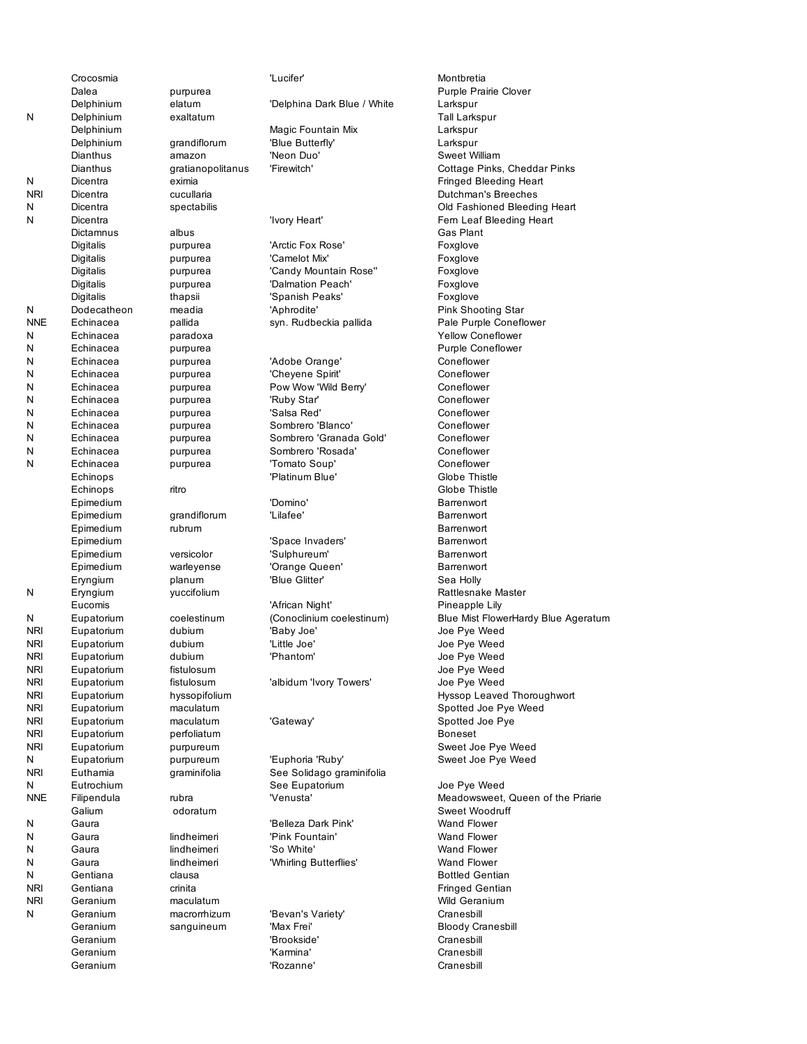|            | Crocosmia   |                   | 'Luciter'                   | Montbretia         |
|------------|-------------|-------------------|-----------------------------|--------------------|
|            | Dalea       | purpurea          |                             | Purple Pra         |
|            | Delphinium  | elatum            | 'Delphina Dark Blue / White | Larkspur           |
| N          | Delphinium  | exaltatum         |                             | Tall Larksp        |
|            | Delphinium  |                   | Magic Fountain Mix          | Larkspur           |
|            | Delphinium  | grandiflorum      | 'Blue Butterfly'            | Larkspur           |
|            | Dianthus    | amazon            | 'Neon Duo'                  | Sweet Willi        |
|            | Dianthus    | gratianopolitanus | 'Firewitch'                 | Cottage Pi         |
| N          | Dicentra    | eximia            |                             | Fringed Ble        |
| <b>NRI</b> | Dicentra    | cucullaria        |                             | Dutchman's         |
| N          |             |                   |                             | Old Fashio         |
|            | Dicentra    | spectabilis       |                             |                    |
| N          | Dicentra    |                   | 'Ivory Heart'               | Fern Leaf I        |
|            | Dictamnus   | albus             |                             | Gas Plant          |
|            | Digitalis   | purpurea          | 'Arctic Fox Rose'           | Foxglove           |
|            | Digitalis   | purpurea          | 'Camelot Mix'               | Foxglove           |
|            | Digitalis   | purpurea          | 'Candy Mountain Rose"       | Foxglove           |
|            | Digitalis   | purpurea          | 'Dalmation Peach'           | Foxglove           |
|            | Digitalis   | thapsii           | 'Spanish Peaks'             | Foxglove           |
| N          | Dodecatheon | meadia            | 'Aphrodite'                 | Pink Shoot         |
| <b>NNE</b> | Echinacea   | pallida           | syn. Rudbeckia pallida      | Pale Purple        |
| N          | Echinacea   | paradoxa          |                             | <b>Yellow Cor</b>  |
| N          | Echinacea   | purpurea          |                             | Purple Cor         |
| N          | Echinacea   | purpurea          | 'Adobe Orange'              | Coneflowe          |
| N          | Echinacea   |                   |                             | Coneflowe          |
|            |             | purpurea          | 'Cheyene Spirit'            |                    |
| Ν          | Echinacea   | purpurea          | Pow Wow 'Wild Berry'        | Coneflowe          |
| N          | Echinacea   | purpurea          | 'Ruby Star'                 | Coneflowe          |
| N          | Echinacea   | purpurea          | 'Salsa Red'                 | Coneflowe          |
| N          | Echinacea   | purpurea          | Sombrero 'Blanco'           | Coneflowe          |
| N          | Echinacea   | purpurea          | Sombrero 'Granada Gold'     | Coneflowe          |
| N          | Echinacea   | purpurea          | Sombrero 'Rosada'           | Coneflowe          |
| N          | Echinacea   | purpurea          | 'Tomato Soup'               | Coneflowe          |
|            | Echinops    |                   | 'Platinum Blue'             | Globe This         |
|            | Echinops    | ritro             |                             | Globe This         |
|            | Epimedium   |                   | 'Domino'                    | Barrenwort         |
|            | Epimedium   | grandiflorum      | 'Lilafee'                   | Barrenwort         |
|            |             |                   |                             |                    |
|            | Epimedium   | rubrum            |                             | Barrenwort         |
|            | Epimedium   |                   | 'Space Invaders'            | Barrenwort         |
|            | Epimedium   | versicolor        | 'Sulphureum'                | Barrenwort         |
|            | Epimedium   | warleyense        | 'Orange Queen'              | Barrenwort         |
|            | Eryngium    | planum            | 'Blue Glitter'              | Sea Holly          |
| N          | Eryngium    | yuccifolium       |                             | Rattlesnak         |
|            | Eucomis     |                   | 'African Night'             | Pineapple          |
| N          | Eupatorium  | coelestinum       | (Conoclinium coelestinum)   | <b>Blue Mist F</b> |
| <b>NRI</b> | Eupatorium  | dubium            | 'Baby Joe'                  | Joe Pye W          |
| NRI        | Eupatorium  | dubium            | 'Little Joe'                | Joe Pye W          |
| <b>NRI</b> | Eupatorium  | dubium            | 'Phantom'                   | Joe Pye W          |
| <b>NRI</b> | Eupatorium  | fistulosum        |                             | Joe Pye W          |
| nri        | Eupatorium  | fistulosum        | 'albidum 'Ivory Towers'     | Joe Pye W          |
|            | Eupatorium  | hyssopifolium     |                             |                    |
| nri        |             |                   |                             | Hyssop Le          |
| nri        | Eupatorium  | maculatum         |                             | Spotted Jo         |
| <b>NRI</b> | Eupatorium  | maculatum         | 'Gateway'                   | Spotted Jo         |
| <b>NRI</b> | Eupatorium  | perfoliatum       |                             | Boneset            |
| <b>NRI</b> | Eupatorium  | purpureum         |                             | Sweet Joe          |
| N          | Eupatorium  | purpureum         | 'Euphoria 'Ruby'            | Sweet Joe          |
| <b>NRI</b> | Euthamia    | graminifolia      | See Solidago graminifolia   |                    |
| N          | Eutrochium  |                   | See Eupatorium              | Joe Pye W          |
| <b>NNE</b> | Filipendula | rubra             | 'Venusta'                   | Meadowsw           |
|            | Galium      | odoratum          |                             | Sweet Woo          |
| N          | Gaura       |                   | 'Belleza Dark Pink'         | Wand Flow          |
| N          | Gaura       | lindheimeri       | 'Pink Fountain'             | Wand Flow          |
| Ν          |             |                   | 'So White'                  | Wand Flow          |
|            | Gaura       | lindheimeri       |                             |                    |
| Ν          | Gaura       | lindheimeri       | 'Whirling Butterflies'      | Wand Flow          |
| Ν          | Gentiana    | clausa            |                             | <b>Bottled Ge</b>  |
| <b>NRI</b> | Gentiana    | crinita           |                             | Fringed Ge         |
| <b>NRI</b> | Geranium    | maculatum         |                             | Wild Geran         |
| N          | Geranium    | macrorrhizum      | 'Bevan's Variety'           | Cranesbill         |
|            | Geranium    | sanguineum        | 'Max Frei'                  | Bloody Cra         |
|            | Geranium    |                   | 'Brookside'                 | Cranesbill         |
|            | Geranium    |                   | 'Karmina'                   | Cranesbill         |
|            | Geranium    |                   | 'Rozanne'                   | Cranesbill         |
|            |             |                   |                             |                    |

Crocosmia 'Lucifer' Montbretia 'Delphina Dark Blue / White Larkspur Magic Fountain Mix **Larkspur** 'Blue Butterfly' Larkspur 'Neon Duo' Sweet William 'Firewitch' Cottage Pinks, Cheddar Pinks 'Ivory Heart' Fern Leaf Bleeding Heart 'Arctic Fox Rose' Foxglove 'Camelot Mix' Foxglove 'Candy Mountain Rose" Foxglove 'Dalmation Peach' Foxglove 'Spanish Peaks' Foxglove 'Aphrodite' Pink Shooting Star syn. Rudbeckia pallida entity Pale Purple Coneflower 'Adobe Orange' Coneflower 'Cheyene Spirit' Coneflower Pow Wow 'Wild Berry' Coneflower 'Ruby Star' Coneflower 'Salsa Red' Coneflower Sombrero 'Blanco' Coneflower Sombrero 'Granada Gold' Coneflower Sombrero 'Rosada' Coneflower 'Tomato Soup' Coneflower 'Platinum Blue' Globe Thistle 'Lilafee' Barrenwort 'Space Invaders' Barrenwort 'Sulphureum' Barrenwort 'Orange Queen' Barrenwort 'Blue Glitter' Sea Holly 'African Night' Pineapple Lily 'Baby Joe' Joe Pye Weed 'Little Joe' Joe Pye Weed 'Phantom' **Calculation** Joe Pye Weed 'albidum 'Ivory Towers' Joe Pye Weed 'Gateway' Spotted Joe Pye 'Euphoria 'Ruby' Sweet Joe Pye Weed See Solidago graminifolia See Eupatorium Joe Pye Weed 'Belleza Dark Pink' Wand Flower 'Pink Fountain' Wand Flower 'So White' **Wand Flower** 'Whirling Butterflies' Wand Flower 'Bevan's Variety' Cranesbill 'Max Frei' **Bloody Cranesbill** 

Purple Prairie Clover Tall Larkspur Fringed Bleeding Heart Dutchman's Breeches Old Fashioned Bleeding Heart Gas Plant Yellow Coneflower Purple Coneflower Globe Thistle Barrenwort Rattlesnake Master (Conoclinium coelestinum) Blue Mist FlowerHardy Blue Ageratum Joe Pye Weed Hyssop Leaved Thoroughwort Spotted Joe Pye Weed Sweet Joe Pye Weed 'Venusta' Meadowsweet, Queen of the Priarie Sweet Woodruff Bottled Gentian Fringed Gentian Wild Geranium 'Brookside' Cranesbill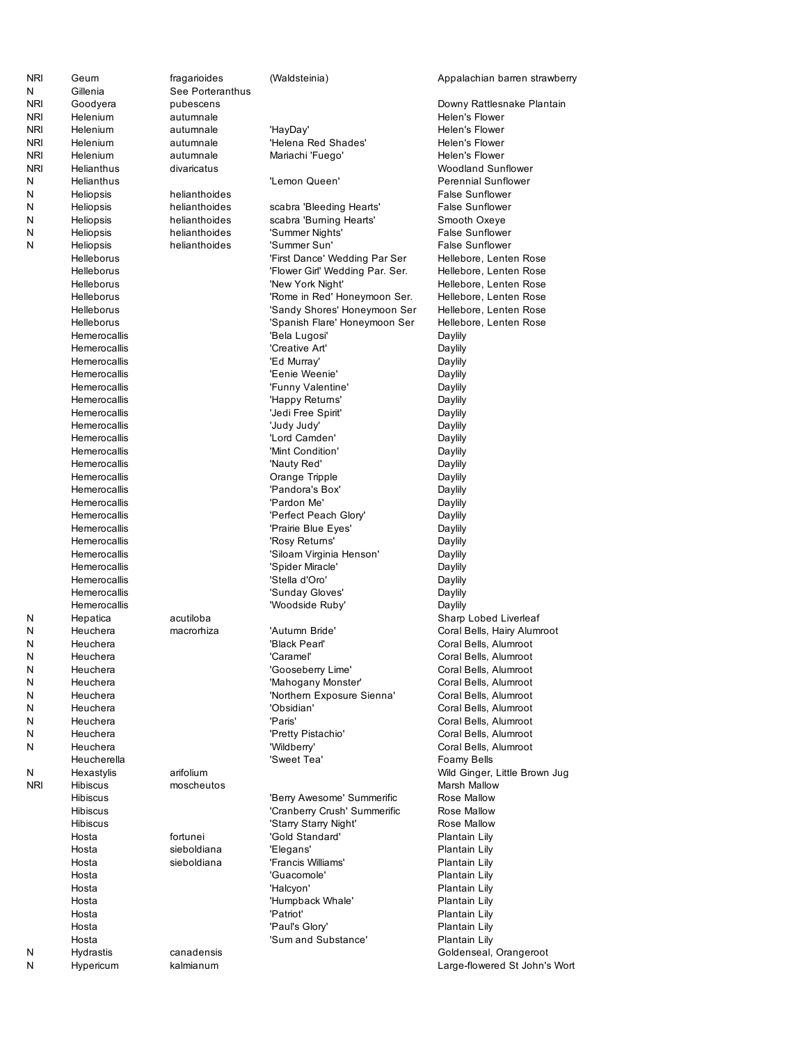| <b>NRI</b> | Geum                         | fragarioides            | (Waldsteinia)                     | Appalachian barren strawberry           |
|------------|------------------------------|-------------------------|-----------------------------------|-----------------------------------------|
| N          | Gillenia                     | See Porteranthus        |                                   |                                         |
| <b>NRI</b> | Goodyera                     | pubescens               |                                   | Downy Rattlesnake Plantain              |
| <b>NRI</b> | Helenium                     | autumnale               |                                   | Helen's Flower                          |
| <b>NRI</b> | Helenium                     | autumnale               | 'HayDay'                          | Helen's Flower                          |
| <b>NRI</b> | <b>Helenium</b>              | autumnale               | 'Helena Red Shades'               | Helen's Flower                          |
| <b>NRI</b> | Helenium                     | autumnale               | Mariachi 'Fuego'                  | Helen's Flower                          |
| <b>NRI</b> | Helianthus                   | divaricatus             |                                   | <b>Woodland Sunflower</b>               |
| N          | Helianthus                   |                         | 'Lemon Queen'                     | <b>Perennial Sunflower</b>              |
| N          | Heliopsis                    | helianthoides           |                                   | <b>False Sunflower</b>                  |
| N          | Heliopsis                    | helianthoides           | scabra 'Bleeding Hearts'          | <b>False Sunflower</b>                  |
| N          | Heliopsis                    | helianthoides           | scabra 'Burning Hearts'           | Smooth Oxeye                            |
| N          | Heliopsis                    | helianthoides           | 'Summer Nights'                   | <b>False Sunflower</b>                  |
| N          | Heliopsis                    | helianthoides           | 'Summer Sun'                      | <b>False Sunflower</b>                  |
|            | Helleborus                   |                         | 'First Dance' Wedding Par Ser     | Hellebore, Lenten Rose                  |
|            | Helleborus                   |                         | 'Flower Girl' Wedding Par. Ser.   | Hellebore, Lenten Rose                  |
|            | Helleborus                   |                         | 'New York Night'                  | Hellebore, Lenten Rose                  |
|            | Helleborus                   |                         | 'Rome in Red' Honeymoon Ser.      | Hellebore, Lenten Rose                  |
|            | Helleborus                   |                         | 'Sandy Shores' Honeymoon Ser      | Hellebore, Lenten Rose                  |
|            | Helleborus                   |                         | 'Spanish Flare' Honeymoon Ser     | Hellebore, Lenten Rose                  |
|            | Hemerocallis                 |                         | 'Bela Lugosi'                     | Daylily                                 |
|            | Hemerocallis<br>Hemerocallis |                         | 'Creative Art'                    | Daylily                                 |
|            |                              |                         | 'Ed Murray'<br>'Eenie Weenie'     | Daylily                                 |
|            | Hemerocallis<br>Hemerocallis |                         |                                   | Daylily                                 |
|            | Hemerocallis                 |                         | 'Funny Valentine'                 | Daylily                                 |
|            | Hemerocallis                 |                         | 'Happy Returns'                   | Daylily                                 |
|            | Hemerocallis                 |                         | 'Jedi Free Spirit'<br>'Judy Judy' | Daylily                                 |
|            | Hemerocallis                 |                         | 'Lord Camden'                     | Daylily                                 |
|            | Hemerocallis                 |                         | 'Mint Condition'                  | Daylily                                 |
|            | Hemerocallis                 |                         | 'Nauty Red'                       | Daylily<br>Daylily                      |
|            | Hemerocallis                 |                         | Orange Tripple                    | Daylily                                 |
|            | Hemerocallis                 |                         | 'Pandora's Box'                   | Daylily                                 |
|            | Hemerocallis                 |                         | 'Pardon Me'                       | Daylily                                 |
|            | Hemerocallis                 |                         | 'Perfect Peach Glory'             | Daylily                                 |
|            | Hemerocallis                 |                         | 'Prairie Blue Eyes'               | Daylily                                 |
|            | Hemerocallis                 |                         | 'Rosy Returns'                    | Daylily                                 |
|            | Hemerocallis                 |                         | 'Siloam Virginia Henson'          | Daylily                                 |
|            | Hemerocallis                 |                         | 'Spider Miracle'                  | Daylily                                 |
|            | Hemerocallis                 |                         | 'Stella d'Oro'                    | Daylily                                 |
|            | Hemerocallis                 |                         | 'Sunday Gloves'                   | Daylily                                 |
|            | Hemerocallis                 |                         | 'Woodside Ruby'                   | Daylily                                 |
| N          | Hepatica                     | acutiloba               |                                   | Sharp Lobed Liverleaf                   |
| N          | Heuchera                     | macrorhiza              | 'Autumn Bride'                    | Coral Bells, Hairy Alumroot             |
| N          | Heuchera                     |                         | 'Black Pearl'                     | Coral Bells, Alumroot                   |
| N          | Heuchera                     |                         | 'Caramel'                         | Coral Bells, Alumroot                   |
| N          | Heuchera                     |                         | 'Gooseberry Lime'                 | Coral Bells, Alumroot                   |
| N          | Heuchera                     |                         | 'Mahogany Monster'                | Coral Bells, Alumroot                   |
| N          | Heuchera                     |                         | 'Northern Exposure Sienna'        | Coral Bells, Alumroot                   |
| N          | Heuchera                     |                         | 'Obsidian'                        | Coral Bells, Alumroot                   |
| N          | Heuchera                     |                         | 'Paris'                           | Coral Bells, Alumroot                   |
| N          | Heuchera                     |                         | 'Pretty Pistachio'                | Coral Bells, Alumroot                   |
| N          | Heuchera                     |                         | 'Wildberry'                       | Coral Bells, Alumroot                   |
|            | Heucherella                  |                         | 'Sweet Tea'                       | Foamy Bells                             |
| N          | Hexastylis                   | arifolium               |                                   | Wild Ginger, Little Brown Jug           |
| <b>NRI</b> | <b>Hibiscus</b>              | moscheutos              |                                   | Marsh Mallow                            |
|            | <b>Hibiscus</b>              |                         | 'Berry Awesome' Summerific        | Rose Mallow                             |
|            | <b>Hibiscus</b>              |                         | 'Cranberry Crush' Summerific      | Rose Mallow                             |
|            | <b>Hibiscus</b>              |                         | 'Starry Starry Night'             | Rose Mallow                             |
|            | Hosta                        | fortunei                | 'Gold Standard'                   | Plantain Lily                           |
|            | Hosta                        | sieboldiana             | 'Elegans'                         | Plantain Lily                           |
|            | Hosta                        | sieboldiana             | 'Francis Williams'                | Plantain Lily                           |
|            | Hosta                        |                         | 'Guacomole'                       | Plantain Lily                           |
|            | Hosta                        |                         | 'Halcyon'                         | Plantain Lily                           |
|            | Hosta                        |                         | 'Humpback Whale'                  | Plantain Lily                           |
|            | Hosta                        |                         | 'Patriot'                         | Plantain Lily                           |
|            | Hosta                        |                         | 'Paul's Glory'                    | Plantain Lily                           |
|            | Hosta                        |                         | 'Sum and Substance'               | Plantain Lily<br>Goldenseal, Orangeroot |
| N<br>Ν     | Hydrastis<br>Hypericum       | canadensis<br>kalmianum |                                   | Large-flowered St John's Wort           |
|            |                              |                         |                                   |                                         |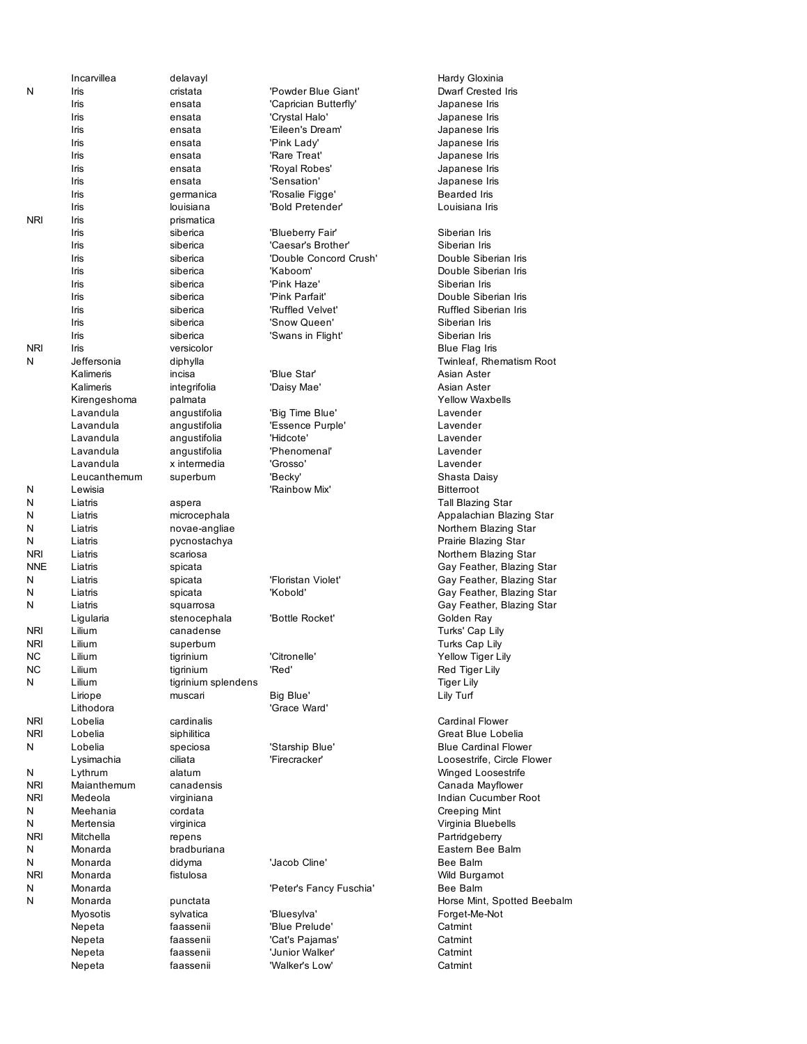|            | Incarvillea        | delavayl             |                                | Hardy Gloxi              |
|------------|--------------------|----------------------|--------------------------------|--------------------------|
| N          | Iris               | cristata             | 'Powder Blue Giant'            | <b>Dwarf Crest</b>       |
|            | Iris               | ensata               | 'Caprician Butterfly'          | Japanese lı              |
|            | Iris               | ensata               | 'Crystal Halo'                 | Japanese lı              |
|            | Iris               | ensata               | 'Eileen's Dream'               | Japanese lı              |
|            | Iris               | ensata               | 'Pink Lady'                    | Japanese lı              |
|            | Iris               | ensata               | 'Rare Treat'                   | Japanese lı              |
|            | Iris               | ensata               | 'Royal Robes'                  | Japanese lı              |
|            | Iris               | ensata               | 'Sensation'                    | Japanese lı              |
|            | Iris               | germanica            | 'Rosalie Figge'                | Bearded Iris             |
|            | Iris               | louisiana            | 'Bold Pretender'               | Louisiana Ir             |
| <b>NRI</b> | Iris               | prismatica           |                                |                          |
|            | Iris               | siberica             | 'Blueberry Fair'               | Siberian Iris            |
|            | Iris               | siberica             | 'Caesar's Brother'             | Siberian Iris            |
|            | Iris               | siberica             | 'Double Concord Crush'         | Double Sibe              |
|            | Iris               | siberica             | 'Kaboom'                       | Double Sibe              |
|            | Iris               | siberica             | 'Pink Haze'                    | Siberian Iris            |
|            | Iris               | siberica             | 'Pink Parfait'                 | Double Sibe              |
|            | Iris               | siberica             | 'Ruffled Velvet'               | <b>Ruffled Sibe</b>      |
|            | Iris               | siberica             | 'Snow Queen'                   | Siberian Iris            |
|            | Iris               | siberica             | 'Swans in Flight'              | Siberian Iris            |
| <b>NRI</b> | Iris               | versicolor           |                                | Blue Flag Ir             |
| N          | Jeffersonia        | diphylla             |                                | Twinleaf, Rh             |
|            | Kalimeris          | incisa               | 'Blue Star'                    | Asian Aster              |
|            | Kalimeris          | integrifolia         | 'Daisy Mae'                    | Asian Aster              |
|            | Kirengeshoma       | palmata              |                                | <b>Yellow Wax</b>        |
|            | Lavandula          | angustifolia         | 'Big Time Blue'                | Lavender                 |
|            | Lavandula          | angustifolia         | 'Essence Purple'               | Lavender                 |
|            | Lavandula          | angustifolia         | 'Hidcote'                      | Lavender                 |
|            | Lavandula          | angustifolia         | 'Phenomenal'                   | Lavender                 |
|            | Lavandula          | x intermedia         | 'Grosso'                       | Lavender                 |
|            | Leucanthemum       | superbum             | 'Becky'                        | Shasta Dais              |
| N          | Lewisia            |                      | 'Rainbow Mix'                  | Bitterroot               |
| N          | Liatris            | aspera               |                                | Tall Blazing             |
| N          | Liatris            | microcephala         |                                | Appalachia               |
| N          | Liatris            | novae-angliae        |                                | Northern Bla             |
| N          | Liatris            | pycnostachya         |                                | Prairie Blazi            |
| <b>NRI</b> | Liatris            | scariosa             |                                | Northern Bla             |
| <b>NNE</b> | Liatris            | spicata              |                                | Gay Feathe               |
| N<br>N     | Liatris            | spicata              | 'Floristan Violet'<br>'Kobold' | Gay Feathe               |
| N          | Liatris<br>Liatris | spicata<br>squarrosa |                                | Gay Feathe               |
|            | Ligularia          | stenocephala         | 'Bottle Rocket'                | Gay Feathe<br>Golden Ray |
| <b>NRI</b> | Lilium             | canadense            |                                | Turks' Cap I             |
| <b>NRI</b> | Lilium             | superbum             |                                | Turks Cap L              |
| NC         | Lilium             | tigrinium            | 'Citronelle'                   | <b>Yellow Tige</b>       |
| ΝC         | Lilium             | tigrinium            | 'Red'                          | Red Tiger L              |
| Ν          | Lilium             | tigrinium splendens  |                                | <b>Tiger Lily</b>        |
|            | Liriope            | muscari              | Big Blue'                      | Lily Turf                |
|            | Lithodora          |                      | 'Grace Ward'                   |                          |
| <b>NRI</b> | Lobelia            | cardinalis           |                                | Cardinal Flo             |
| <b>NRI</b> | Lobelia            | siphilitica          |                                | Great Blue               |
| Ν          | Lobelia            | speciosa             | 'Starship Blue'                | <b>Blue Cardin</b>       |
|            | Lysimachia         | ciliata              | 'Firecracker'                  | Loosestrife,             |
| Ν          | Lythrum            | alatum               |                                | Winged Loc               |
| <b>NRI</b> | Maianthemum        | canadensis           |                                | Canada Ma                |
| NRI        | Medeola            | virginiana           |                                | Indian Cucu              |
| Ν          | Meehania           | cordata              |                                | Creeping M               |
| Ν          | Mertensia          | virginica            |                                | Virginia Blue            |
| <b>NRI</b> | Mitchella          | repens               |                                | Partridgebe              |
| Ν          | Monarda            | bradburiana          |                                | Eastern Be               |
| N          | Monarda            | didyma               | 'Jacob Cline'                  | Bee Balm                 |
| <b>NRI</b> | Monarda            | fistulosa            |                                | Wild Burgar              |
| Ν          | Monarda            |                      | 'Peter's Fancy Fuschia'        | Bee Balm                 |
| Ν          | Monarda            | punctata             |                                | Horse Mint,              |
|            | Myosotis           | sylvatica            | 'Bluesylva'                    | Forget-Me-N              |
|            | Nepeta             | faassenii            | 'Blue Prelude'                 | Catmint                  |
|            | Nepeta             | faassenii            | 'Cat's Pajamas'                | Catmint                  |
|            | Nepeta             | faassenii            | 'Junior Walker'                | Catmint                  |
|            | Nepeta             | faassenii            | 'Walker's Low'                 | Catmint                  |
|            |                    |                      |                                |                          |

Hardy Gloxinia Blue Giant' Dwarf Crested Iris an Butterfly' **Samely** Japanese Iris Halo' Japanese Iris s Dream' Japanese Iris Idy' Japanese Iris **IFIS ENSATA ENSAY EN EXECUTE SETTE** Probes' and Japanese Iris Japanese Iris ion' Japanese Iris Figge' Bearded Iris etender' Louisiana Iris **Irry Fair'** Siberian Iris 's Brother' Siberian Iris Concord Crush' Double Siberian Iris n' Double Siberian Iris Iris siberica 'Pink Parfait' Double Siberian Iris Velvet' Ruffled Siberian Iris Iffer the Siberian Iris Siberian Iris in Flight' Siberian Iris Blue Flag Iris Twinleaf, Rhematism Root kalimeris incisa 'Blue Start' Asian Aster **Kalimeris integrifolia integrifolia integrifolia 'Daisy Asian Aster** Yellow Waxbells e Blue' Lavender Lavender Shasta Daisy Tall Blazing Star Appalachian Blazing Star Northern Blazing Star Prairie Blazing Star Northern Blazing Star Gay Feather, Blazing Star n Violet' **Gay Feather, Blazing Star** Gay Feather, Blazing Star Gay Feather, Blazing Star Rocket' **Golden Ray** Turks' Cap Lily Turks Cap Lily Ne' Nellow Tiger Lily Red Tiger Lily<br>Tiger Lily Cardinal Flower Great Blue Lobelia ip Blue' Blue Cardinal Flower cker' Loosestrife, Circle Flower Winged Loosestrife Canada Mayflower Indian Cucumber Root Creeping Mint Virginia Bluebells Partridgeberry Eastern Bee Balm Wild Burgamot Fancy Fuschia' Bee Balm Horse Mint, Spotted Beebalm va' **Forget-Me-Not**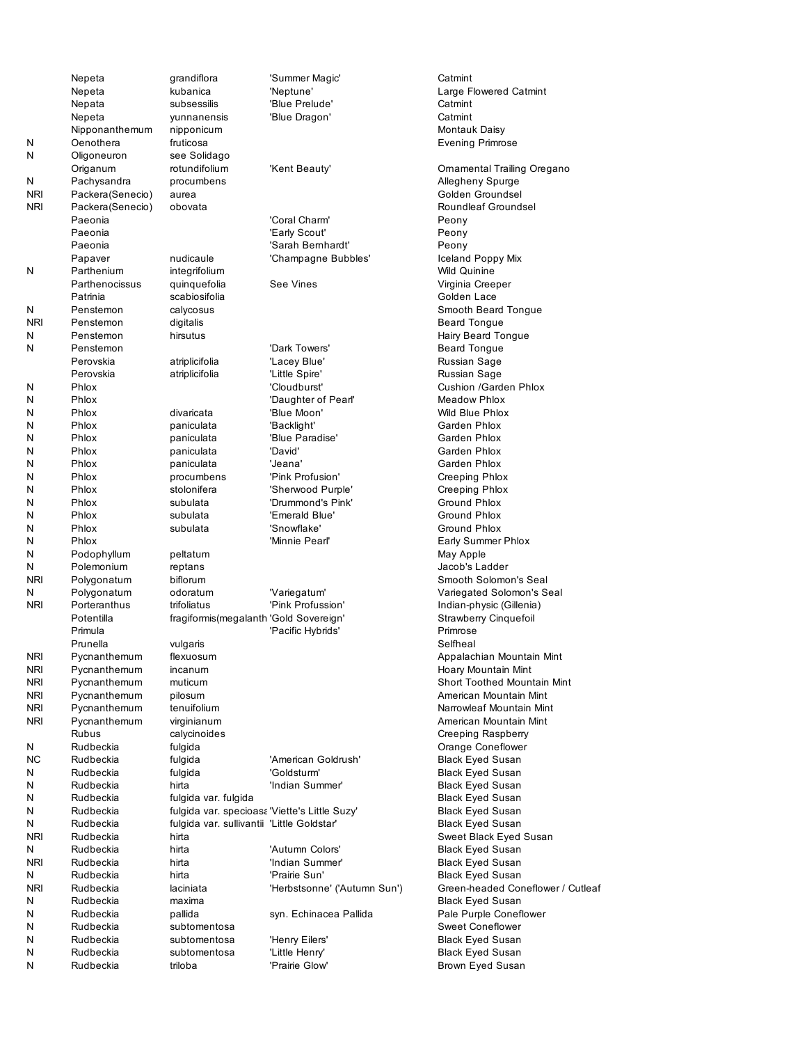|            | Nepeta           | grandiflora                                   | 'Summer Magic'               | Catmint           |
|------------|------------------|-----------------------------------------------|------------------------------|-------------------|
|            | Nepeta           | kubanica                                      | 'Neptune'                    | Large Flov        |
|            | Nepata           | subsessilis                                   | 'Blue Prelude'               | Catmint           |
|            | Nepeta           | yunnanensis                                   | 'Blue Dragon'                | Catmint           |
|            | Nipponanthemum   | nipponicum                                    |                              | Montauk D         |
| N          | Oenothera        | fruticosa                                     |                              | Evening P         |
| N          | Oligoneuron      | see Solidago                                  |                              |                   |
|            | Origanum         | rotundifolium                                 | 'Kent Beauty'                | Ornamenta         |
| Ν          | Pachysandra      | procumbens                                    |                              | Allegheny         |
| <b>NRI</b> | Packera(Senecio) | aurea                                         |                              | Golden Gr         |
| NRI        | Packera(Senecio) | obovata                                       |                              | Roundleaf         |
|            | Paeonia          |                                               | 'Coral Charm'                | Peony             |
|            | Paeonia          |                                               | 'Early Scout'                | Peony             |
|            | Paeonia          |                                               | 'Sarah Bernhardt'            | Peony             |
|            | Papaver          | nudicaule                                     | 'Champagne Bubbles'          | Iceland Pc        |
| N          | Parthenium       | integrifolium                                 |                              | Wild Quinir       |
|            | Parthenocissus   |                                               | See Vines                    |                   |
|            | Patrinia         | quinquefolia<br>scabiosifolia                 |                              | Virginia Cr       |
|            |                  |                                               |                              | Golden La         |
| N          | Penstemon        | calycosus                                     |                              | Smooth Be         |
| <b>NRI</b> | Penstemon        | digitalis                                     |                              | <b>Beard Ton</b>  |
| N          | Penstemon        | hirsutus                                      |                              | Hairy Bear        |
| N          | Penstemon        |                                               | 'Dark Towers'                | <b>Beard Ton</b>  |
|            | Perovskia        | atriplicifolia                                | 'Lacey Blue'                 | Russian Sa        |
|            | Perovskia        | atriplicifolia                                | 'Little Spire'               | Russian Sa        |
| N          | Phlox            |                                               | 'Cloudburst'                 | Cushion /C        |
| N          | Phlox            |                                               | 'Daughter of Pearl'          | Meadow P          |
| N          | Phlox            | divaricata                                    | 'Blue Moon'                  | Wild Blue I       |
| N          | Phlox            | paniculata                                    | 'Backlight'                  | Garden Pr         |
| N          | Phlox            | paniculata                                    | 'Blue Paradise'              | Garden Pr         |
| N          | Phlox            | paniculata                                    | 'David'                      | Garden Pr         |
| N          | Phlox            | paniculata                                    | 'Jeana'                      | Garden Pr         |
| N          | Phlox            | procumbens                                    | 'Pink Profusion'             | Creeping F        |
| N          | Phlox            | stolonifera                                   | 'Sherwood Purple'            | Creeping F        |
| N          | Phlox            | subulata                                      | 'Drummond's Pink'            | Ground Pr         |
| N          | Phlox            | subulata                                      | 'Emerald Blue'               | Ground Pr         |
| N          | Phlox            | subulata                                      | 'Snowflake'                  | Ground Pr         |
| Ν          | Phlox            |                                               | 'Minnie Pearl'               | Early Sum         |
| N          | Podophyllum      | peltatum                                      |                              | May Apple         |
| N          | Polemonium       | reptans                                       |                              | Jacob's La        |
| <b>NRI</b> | Polygonatum      | biflorum                                      |                              | Smooth So         |
| N          |                  |                                               |                              |                   |
|            | Polygonatum      | odoratum                                      | 'Variegatum'                 | Variegated        |
| <b>NRI</b> | Porteranthus     | trifoliatus                                   | 'Pink Profussion'            | Indian-phy        |
|            | Potentilla       | fragiformis(megalanth 'Gold Sovereign'        |                              | Strawberry        |
|            | Primula          |                                               | 'Pacific Hybrids'            | Primrose          |
|            | Prunella         | vulgaris                                      |                              | Selfheal          |
| <b>NRI</b> | Pycnanthemum     | flexuosum                                     |                              | Appalachia        |
| nri        | Pycnanthemum     | incanum                                       |                              | Hoary Mou         |
| nri        | Pycnanthemum     | muticum                                       |                              | <b>Short Toot</b> |
| nri        | Pycnanthemum     | pilosum                                       |                              | American I        |
| <b>NRI</b> | Pycnanthemum     | tenuifolium                                   |                              | Narrowleaf        |
| NRI        | Pycnanthemum     | virginianum                                   |                              | American I        |
|            | Rubus            | calycinoides                                  |                              | Creeping F        |
| Ν          | Rudbeckia        | fulgida                                       |                              | Orange Co         |
| NC.        | Rudbeckia        | fulgida                                       | 'American Goldrush'          | <b>Black Eyer</b> |
| Ν          | Rudbeckia        | fulgida                                       | 'Goldsturm'                  | <b>Black Eyer</b> |
| N          | Rudbeckia        | hirta                                         | 'Indian Summer'              | <b>Black Eyer</b> |
| Ν          | Rudbeckia        | fulgida var. fulgida                          |                              | <b>Black Eyer</b> |
| Ν          | Rudbeckia        | fulgida var. specioas  'Viette's Little Suzy' |                              | <b>Black Eyer</b> |
| N          | Rudbeckia        | fulgida var. sullivantii 'Little Goldstar'    |                              | <b>Black Eyer</b> |
| <b>NRI</b> | Rudbeckia        | hirta                                         |                              | Sweet Bla         |
| Ν          | Rudbeckia        | hirta                                         | 'Autumn Colors'              | <b>Black Eyer</b> |
|            |                  |                                               |                              |                   |
| <b>NRI</b> | Rudbeckia        | hirta                                         | 'Indian Summer'              | <b>Black Eyer</b> |
| Ν          | Rudbeckia        | hirta                                         | 'Prairie Sun'                | <b>Black Eyer</b> |
| <b>NRI</b> | Rudbeckia        | laciniata                                     | 'Herbstsonne' ('Autumn Sun') | Green-hea         |
| Ν          | Rudbeckia        | maxima                                        |                              | <b>Black Eyer</b> |
| Ν          | Rudbeckia        | pallida                                       | syn. Echinacea Pallida       | Pale Purpl        |
| Ν          | Rudbeckia        | subtomentosa                                  |                              | Sweet Cor         |
| Ν          | Rudbeckia        | subtomentosa                                  | 'Henry Eilers'               | <b>Black Eyer</b> |
| Ν          | Rudbeckia        | subtomentosa                                  | 'Little Henry'               | <b>Black Eyer</b> |
| Ν          | Rudbeckia        | triloba                                       | 'Prairie Glow'               | Brown Eye         |
|            |                  |                                               |                              |                   |

Large Flowered Catmint Montauk Daisy Evening Primrose Ornamental Trailing Oregano Allegheny Spurge Golden Groundsel Roundleaf Groundsel<br>Peony abbles' Iceland Poppy Mix Wild Quinine Virginia Creeper Golden Lace Smooth Beard Tongue Beard Tongue Hairy Beard Tongue Beard Tongue Russian Sage Russian Sage Cushion /Garden Phlox arl' Meadow Phlox Wild Blue Phlox Garden Phlox Garden Phlox Garden Phlox Garden Phlox Creeping Phlox Ne' Sherwood Creeping Phlox nk' Ground Phlox Ground Phlox Ground Phlox Early Summer Phlox Jacob's Ladder Smooth Solomon's Seal Variegated Solomon's Seal Indian-physic (Gillenia) Strawberry Cinquefoil Appalachian Mountain Mint Hoary Mountain Mint Short Toothed Mountain Mint American Mountain Mint Narrowleaf Mountain Mint American Mountain Mint Creeping Raspberry Orange Coneflower nc Black Eyed Susan Black Eyed Susan Black Eyed Susan Black Eyed Susan uzy' Black Eyed Susan Black Eyed Susan Sweet Black Eyed Susan Black Eyed Susan Black Eyed Susan Black Eyed Susan Autumn Sun') Green-headed Coneflower / Cutleaf Black Eyed Susan Pallida Pale Purple Coneflower Sweet Coneflower Black Eyed Susan Black Eyed Susan Brown Eyed Susan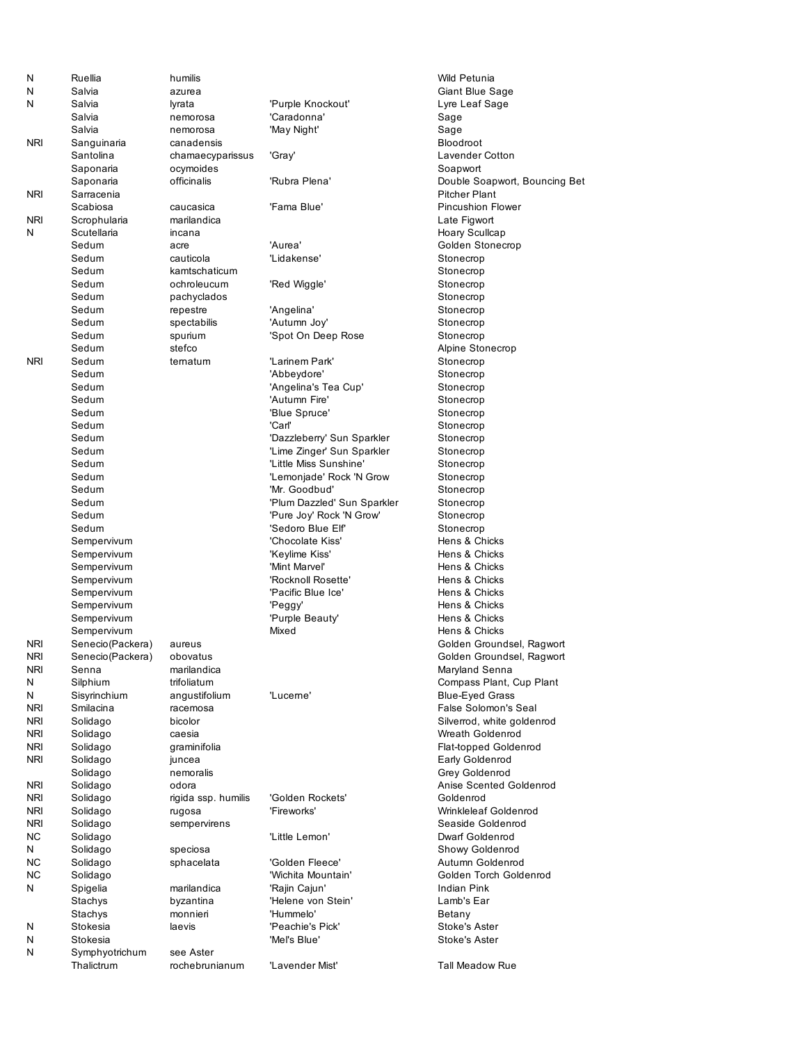| N               | Ruellia                     | humilis                  |                                               | Wild Petunia                        |
|-----------------|-----------------------------|--------------------------|-----------------------------------------------|-------------------------------------|
| N               | Salvia                      | azurea                   |                                               | Giant Blue S                        |
| N               | Salvia                      | lyrata                   | 'Purple Knockout'                             | Lyre Leaf Sa                        |
|                 | Salvia                      | nemorosa                 | 'Caradonna'                                   | Sage                                |
|                 | Salvia                      | nemorosa                 | 'May Night'                                   | Sage                                |
| <b>NRI</b>      | Sanguinaria                 | canadensis               |                                               | Bloodroot                           |
|                 | Santolina                   | chamaecyparissus         | 'Gray'                                        | Lavender Co                         |
|                 | Saponaria                   | ocymoides                |                                               | Soapwort                            |
|                 | Saponaria                   | officinalis              | 'Rubra Plena'                                 | Double Soap                         |
| <b>NRI</b>      | Sarracenia                  |                          |                                               | <b>Pitcher Plant</b>                |
|                 | Scabiosa                    | caucasica<br>marilandica | 'Fama Blue'                                   | Pincushion F                        |
| <b>NRI</b><br>N | Scrophularia<br>Scutellaria | incana                   |                                               | Late Figwort                        |
|                 | Sedum                       | acre                     | 'Aurea'                                       | <b>Hoary Scullca</b><br>Golden Ston |
|                 | Sedum                       | cauticola                | 'Lidakense'                                   | Stonecrop                           |
|                 | Sedum                       | kamtschaticum            |                                               | Stonecrop                           |
|                 | Sedum                       | ochroleucum              | 'Red Wiggle'                                  | Stonecrop                           |
|                 | Sedum                       | pachyclados              |                                               | Stonecrop                           |
|                 | Sedum                       | repestre                 | 'Angelina'                                    | Stonecrop                           |
|                 | Sedum                       | spectabilis              | 'Autumn Joy'                                  | Stonecrop                           |
|                 | Sedum                       | spurium                  | 'Spot On Deep Rose                            | Stonecrop                           |
|                 | Sedum                       | stefco                   |                                               | Alpine Stone                        |
| <b>NRI</b>      | Sedum                       | ternatum                 | 'Larinem Park'                                | Stonecrop                           |
|                 | Sedum                       |                          | 'Abbeydore'                                   | Stonecrop                           |
|                 | Sedum                       |                          | 'Angelina's Tea Cup'                          | Stonecrop                           |
|                 | Sedum                       |                          | 'Autumn Fire'                                 | Stonecrop                           |
|                 | Sedum                       |                          | 'Blue Spruce'                                 | Stonecrop                           |
|                 | Sedum                       |                          | 'Carl'                                        | Stonecrop                           |
|                 | Sedum                       |                          | 'Dazzleberry' Sun Sparkler                    | Stonecrop                           |
|                 | Sedum                       |                          | 'Lime Zinger' Sun Sparkler                    | Stonecrop                           |
|                 | Sedum                       |                          | 'Little Miss Sunshine'                        | Stonecrop                           |
|                 | Sedum                       |                          | 'Lemonjade' Rock 'N Grow                      | Stonecrop                           |
|                 | Sedum                       |                          | 'Mr. Goodbud'                                 | Stonecrop                           |
|                 | Sedum<br>Sedum              |                          | 'Plum Dazzled' Sun Sparkler                   | Stonecrop                           |
|                 | Sedum                       |                          | 'Pure Joy' Rock 'N Grow'<br>'Sedoro Blue Elf' | Stonecrop<br>Stonecrop              |
|                 | Sempervivum                 |                          | 'Chocolate Kiss'                              | Hens & Chicl                        |
|                 | Sempervivum                 |                          | 'Keylime Kiss'                                | Hens & Chick                        |
|                 | Sempervivum                 |                          | 'Mint Marvel'                                 | Hens & Chicl                        |
|                 | Sempervivum                 |                          | 'Rocknoll Rosette'                            | Hens & Chick                        |
|                 | Sempervivum                 |                          | 'Pacific Blue Ice'                            | Hens & Chick                        |
|                 | Sempervivum                 |                          | 'Peggy'                                       | Hens & Chicl                        |
|                 | Sempervivum                 |                          | 'Purple Beauty'                               | Hens & Chicl                        |
|                 | Sempervivum                 |                          | Mixed                                         | Hens & Chick                        |
| <b>NRI</b>      | Senecio(Packera)            | aureus                   |                                               | Golden Grou                         |
| <b>NRI</b>      | Senecio(Packera)            | obovatus                 |                                               | Golden Grou                         |
| NRI             | Senna                       | marilandica              |                                               | Maryland Ser                        |
| N               | Silphium                    | trifoliatum              |                                               | Compass Pla                         |
| Ν               | Sisyrinchium                | angustifolium            | 'Luceme'                                      | Blue-Eyed G                         |
| NRI             | Smilacina                   | racemosa                 |                                               | <b>False Solomo</b>                 |
| NRI<br>NRI      | Solidago<br>Solidago        | bicolor<br>caesia        |                                               | Silverrod, wh<br>Wreath Gold        |
| NRI             | Solidago                    | graminifolia             |                                               | Flat-topped Q                       |
| <b>NRI</b>      | Solidago                    | juncea                   |                                               | Early Golden                        |
|                 | Solidago                    | nemoralis                |                                               | Grey Golden                         |
| NRI             | Solidago                    | odora                    |                                               | Anise Scente                        |
| <b>NRI</b>      | Solidago                    | rigida ssp. humilis      | 'Golden Rockets'                              | Goldenrod                           |
| NRI             | Solidago                    | rugosa                   | 'Fireworks'                                   | <b>Wrinkleleaf G</b>                |
| NRI             | Solidago                    | sempervirens             |                                               | Seaside Gold                        |
| NC.             | Solidago                    |                          | 'Little Lemon'                                | <b>Dwarf Golder</b>                 |
| N               | Solidago                    | speciosa                 |                                               | Showy Golde                         |
| NC.             | Solidago                    | sphacelata               | 'Golden Fleece'                               | Autumn Gold                         |
| NC.             | Solidago                    |                          | 'Wichita Mountain'                            | Golden Torch                        |
| Ν               | Spigelia                    | marilandica              | 'Rajin Cajun'                                 | Indian Pink                         |
|                 | Stachys                     | byzantina                | 'Helene von Stein'<br>'Hummelo'               | Lamb's Ear                          |
| N               | Stachys<br>Stokesia         | monnieri<br>laevis       | 'Peachie's Pick'                              | Betany<br>Stoke's Aster             |
| N               | Stokesia                    |                          | 'Mel's Blue'                                  | Stoke's Aster                       |
| N               | Symphyotrichum              | see Aster                |                                               |                                     |
|                 | Thalictrum                  | rochebrunianum           | 'Lavender Mist'                               | <b>Tall Meadow</b>                  |
|                 |                             |                          |                                               |                                     |

Giant Blue Sage Lyre Leaf Sage Lavender Cotton Soapwort Double Soapwort, Bouncing Bet Pitcher Plant Pincushion Flower Late Figwort Hoary Scullcap Golden Stonecrop Stonecrop Stonecrop Stonecrop Stonecrop Stonecrop Stonecrop Stonecrop Alpine Stonecrop Stonecrop Stonecrop Stonecrop Stonecrop Stonecrop Stonecrop Stonecrop Stonecrop Stonecrop Stonecrop Stonecrop Stonecrop Stonecrop Stonecrop Hens & Chicks Hens & Chicks Hens & Chicks Hens & Chicks Hens & Chicks Hens & Chicks Hens & Chicks Hens & Chicks Golden Groundsel, Ragwort Golden Groundsel, Ragwort Maryland Senna Compass Plant, Cup Plant Blue-Eyed Grass False Solomon's Seal Silverrod, white goldenrod Wreath Goldenrod Flat-topped Goldenrod Early Goldenrod Grey Goldenrod Anise Scented Goldenrod Wrinkleleaf Goldenrod Seaside Goldenrod Dwarf Goldenrod Showy Goldenrod Autumn Goldenrod Golden Torch Goldenrod Lamb's Ear Stoke's Aster Stoke's Aster Tall Meadow Rue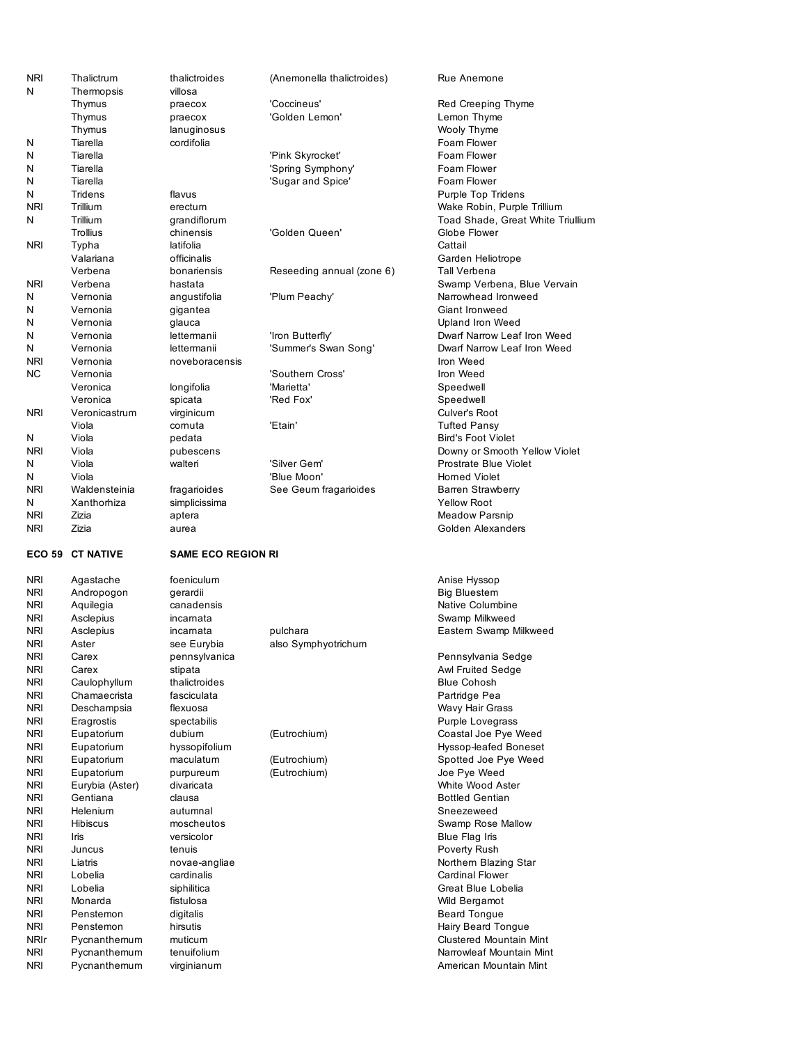| <b>NRI</b>      | Thalictrum                         | thalictroides              | (Anemonella thalictroides)  | Rue Anem                       |
|-----------------|------------------------------------|----------------------------|-----------------------------|--------------------------------|
| N               | Thermopsis                         | villosa                    |                             |                                |
|                 | Thymus                             | praecox                    | 'Coccineus'                 | Red Creep                      |
|                 | Thymus                             | praecox                    | 'Golden Lemon'              | Lemon Th                       |
|                 | Thymus                             | lanuginosus                |                             | Wooly Thy                      |
| N               | Tiarella                           | cordifolia                 |                             | Foam Flov                      |
| N               | Tiarella                           |                            | 'Pink Skyrocket'            | Foam Flov                      |
| N               | Tiarella                           |                            | 'Spring Symphony'           | Foam Flov                      |
| N               | Tiarella                           |                            | 'Sugar and Spice'           | Foam Flov                      |
| N<br><b>NRI</b> | Tridens                            | flavus                     |                             | Purple Top                     |
|                 | Trillium                           | erectum                    |                             | Wake Rob                       |
| N               | Trillium                           | grandiflorum               |                             | Toad Sha                       |
|                 | Trollius                           | chinensis                  | 'Golden Queen'              | Globe Floy                     |
| NRI             | Typha                              | latifolia                  |                             | Cattail                        |
|                 | Valariana<br>Verbena               | officinalis                |                             | Garden He                      |
| NRI             | Verbena                            | bonariensis                | Reseeding annual (zone 6)   | <b>Tall Verbe</b>              |
| N               |                                    | hastata                    |                             | Swamp Ve<br>Narrowhea          |
| N               | Vernonia                           | angustifolia               | 'Plum Peachy'               |                                |
| N               | Vernonia                           | gigantea                   |                             | Giant Iron                     |
| N               | Vernonia                           | glauca                     |                             | Upland Iro                     |
| N               | Vernonia                           | lettermanii<br>lettermanii | 'Iron Butterfly'            | Dwarf Nan<br>Dwarf Nan         |
| <b>NRI</b>      | Vernonia                           |                            | 'Summer's Swan Song'        |                                |
|                 | Vernonia                           | noveboracensis             | 'Southern Cross'            | Iron Weed                      |
| NC              | Vernonia                           |                            | 'Marietta'                  | Iron Weed                      |
|                 | Veronica<br>Veronica               | longifolia                 |                             | Speedwell                      |
|                 |                                    | spicata                    | 'Red Fox'                   | Speedwell                      |
| <b>NRI</b>      | Veronicastrum                      | virginicum                 |                             | Culver's Re                    |
|                 | Viola                              | cornuta                    | 'Etain'                     | Tufted Par                     |
| N               | Viola                              | pedata                     |                             | Bird's Foot                    |
| <b>NRI</b>      | Viola                              | pubescens                  |                             | Downy or                       |
| N<br>N          | Viola                              | walteri                    | 'Silver Gem'<br>'Blue Moon' | Prostrate I                    |
| <b>NRI</b>      | Viola                              |                            |                             | Homed Vi                       |
| N               | Waldensteinia<br>Xanthorhiza       | fragarioides               | See Geum fragarioides       | <b>Barren Str</b><br>Yellow Ro |
| NRI             | Zizia                              | simplicissima<br>aptera    |                             | Meadow <sub>P</sub>            |
| NRI             | Zizia                              | aurea                      |                             | Golden Al                      |
|                 |                                    |                            |                             |                                |
|                 |                                    |                            |                             |                                |
| <b>ECO 59</b>   | <b>CT NATIVE</b>                   | <b>SAME ECO REGION RI</b>  |                             |                                |
|                 |                                    |                            |                             |                                |
| NRI             | Agastache                          | foeniculum                 |                             | Anise Hys:                     |
| NRI             | Andropogon                         | gerardii                   |                             | <b>Big Bluest</b>              |
| NRI             | Aquilegia                          | canadensis                 |                             | <b>Native Col</b>              |
| NRI             | Asclepius                          | incarnata                  |                             | Swamp Mi                       |
| NRI             | Asclepius                          | incarnata                  | pulchara                    | Eastern Sy                     |
| <b>NRI</b>      | Aster                              | see Eurybia                | also Symphyotrichum         |                                |
| <b>NRI</b>      | Carex                              | pennsylvanica              |                             | Pennsylva                      |
| NRI             | Carex                              | stipata                    |                             | Awl Fruited                    |
| NRI             | Caulophyllum                       | thalictroides              |                             | <b>Blue Cohc</b>               |
| NRI             | Chamaecrista                       | fasciculata                |                             | Partridge I                    |
| NRI             | Deschampsia                        | flexuosa                   |                             | Wavy Hair                      |
| NRI             | Eragrostis                         | spectabilis                |                             | Purple Lov                     |
| NRI             | Eupatorium                         | dubium                     | (Eutrochium)                | Coastal Jo                     |
| NRI             | Eupatorium                         | hyssopifolium              |                             | Hyssop-lea                     |
| NRI             | Eupatorium                         | maculatum                  | (Eutrochium)                | Spotted Jo                     |
| NRI             | Eupatorium                         | purpureum                  | (Eutrochium)                | Joe Pye W                      |
| NRI             | Eurybia (Aster)                    | divaricata                 |                             | White Woo                      |
| <b>NRI</b>      | Gentiana                           | clausa                     |                             | <b>Bottled Ge</b>              |
| NRI<br>NRI      | <b>Helenium</b><br><b>Hibiscus</b> | autumnal<br>moscheutos     |                             | Sneezewe<br>Swamp Ro           |
| NRI             | Iris                               | versicolor                 |                             | Blue Flag                      |
| NRI             | Juncus                             | tenuis                     |                             | Poverty Ru                     |
| NRI             | Liatris                            | novae-angliae              |                             | Northern E                     |
| NRI             | Lobelia                            | cardinalis                 |                             | Cardinal F                     |
| NRI             | Lobelia                            | siphilitica                |                             | Great Blue                     |
| NRI             | Monarda                            | fistulosa                  |                             | Wild Berga                     |
| NRI             | Penstemon                          | digitalis                  |                             | <b>Beard Ton</b>               |
| NRI             | Penstemon                          | hirsutis                   |                             | Hairy Bear                     |
| <b>NRIr</b>     | Pycnanthemum                       | muticum                    |                             | Clustered                      |
| NRI             | Pycnanthemum                       | tenuifolium                |                             | Narrowleat                     |
| NRI             | Pycnanthemum                       | virginianum                |                             | American I                     |

Rue Anemone Red Creeping Thyme Lemon Thyme Wooly Thyme Foam Flower Foam Flower Foam Flower Foam Flower Purple Top Tridens Wake Robin, Purple Trillium Toad Shade, Great White Triullium Globe Flower Garden Heliotrope Tall Verbena Swamp Verbena, Blue Vervain Narrowhead Ironweed Giant Ironweed Upland Iron Weed Dwarf Narrow Leaf Iron Weed Dwarf Narrow Leaf Iron Weed Speedwell Speedwell Culver's Root **Tufted Pansy** Bird's Foot Violet Downy or Smooth Yellow Violet Prostrate Blue Violet Horned Violet Barren Strawberry Yellow Root Meadow Parsnip Golden Alexanders

Anise Hyssop Big Bluestem Native Columbine Swamp Milkweed Eastern Swamp Milkweed Pennsylvania Sedge Awl Fruited Sedge Blue Cohosh

Partridge Pea Wavy Hair Grass Purple Lovegrass Coastal Joe Pye Weed Hyssop-leafed Boneset Spotted Joe Pye Weed Joe Pye Weed White Wood Aster **Bottled Gentian** Sneezeweed Swamp Rose Mallow Blue Flag Iris Poverty Rush Northern Blazing Star Cardinal Flower Great Blue Lobelia Wild Bergamot Beard Tongue Hairy Beard Tongue Clustered Mountain Mint Narrowleaf Mountain Mint American Mountain Mint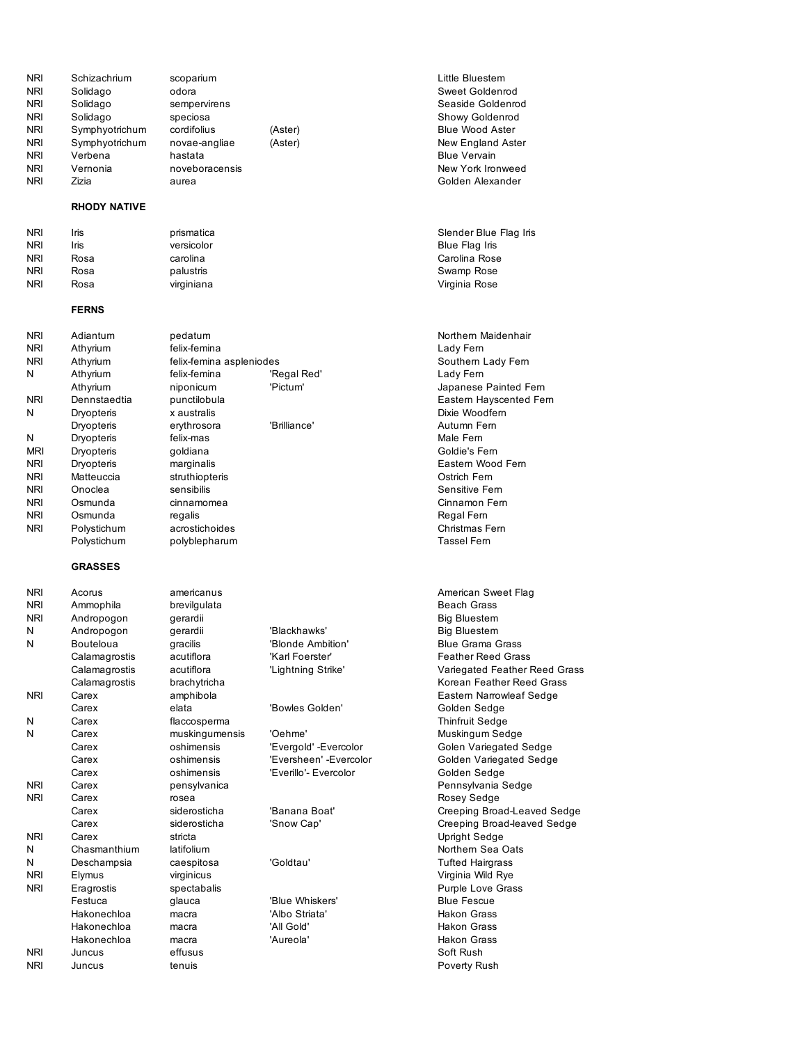| <b>NRI</b><br><b>NRI</b><br><b>NRI</b><br><b>NRI</b><br><b>NRI</b><br><b>NRI</b> | Schizachrium<br>Solidago<br>Solidago<br>Solidago<br>Symphyotrichum<br>Symphyotrichum | scoparium<br>odora<br>sempervirens<br>speciosa<br>cordifolius<br>novae-angliae | (Aster)<br>(Aster)     | Little Blue<br>Sweet Go<br>Seaside G<br>Showy Go<br>Blue Woo<br>New Engla |
|----------------------------------------------------------------------------------|--------------------------------------------------------------------------------------|--------------------------------------------------------------------------------|------------------------|---------------------------------------------------------------------------|
| <b>NRI</b>                                                                       | Verbena                                                                              | hastata                                                                        |                        | <b>Blue Verva</b>                                                         |
| <b>NRI</b>                                                                       | Vernonia                                                                             | noveboracensis                                                                 |                        | New York                                                                  |
| <b>NRI</b>                                                                       | Zizia                                                                                | aurea                                                                          |                        | Golden Al                                                                 |
|                                                                                  | <b>RHODY NATIVE</b>                                                                  |                                                                                |                        |                                                                           |
| <b>NRI</b>                                                                       | Iris                                                                                 | prismatica                                                                     |                        | Slender B                                                                 |
| <b>NRI</b>                                                                       | Iris                                                                                 | versicolor                                                                     |                        | Blue Flag                                                                 |
| <b>NRI</b>                                                                       | Rosa                                                                                 | carolina                                                                       |                        | Carolina F                                                                |
| <b>NRI</b><br><b>NRI</b>                                                         | Rosa<br>Rosa                                                                         | palustris<br>virginiana                                                        |                        | Swamp Ro<br>Virginia Ro                                                   |
|                                                                                  | <b>FERNS</b>                                                                         |                                                                                |                        |                                                                           |
| <b>NRI</b>                                                                       | Adiantum                                                                             | pedatum                                                                        |                        | Northern N                                                                |
| <b>NRI</b>                                                                       | Athyrium                                                                             | felix-femina                                                                   |                        | Lady Fern                                                                 |
| <b>NRI</b>                                                                       | Athyrium                                                                             | felix-femina aspleniodes                                                       |                        | Southern                                                                  |
| N                                                                                | Athyrium                                                                             | felix-femina                                                                   | 'Regal Red'            | Lady Fern                                                                 |
|                                                                                  | Athyrium                                                                             | niponicum                                                                      | 'Pictum'               | Japanese                                                                  |
| NRI                                                                              | Dennstaedtia                                                                         | punctilobula                                                                   |                        | Eastern H                                                                 |
| N                                                                                | Dryopteris                                                                           | x australis                                                                    |                        | Dixie Woo                                                                 |
|                                                                                  | Dryopteris                                                                           | erythrosora                                                                    | 'Brilliance'           | Autumn F                                                                  |
| N<br><b>MRI</b>                                                                  | Dryopteris                                                                           | felix-mas                                                                      |                        | Male Fern<br>Goldie's F                                                   |
| <b>NRI</b>                                                                       | Dryopteris<br>Dryopteris                                                             | goldiana<br>marginalis                                                         |                        | Eastern W                                                                 |
| <b>NRI</b>                                                                       | Matteuccia                                                                           | struthiopteris                                                                 |                        | Ostrich Fe                                                                |
| <b>NRI</b>                                                                       | Onoclea                                                                              | sensibilis                                                                     |                        | Sensitive                                                                 |
| <b>NRI</b>                                                                       | Osmunda                                                                              | cinnamomea                                                                     |                        | Cinnamon                                                                  |
| <b>NRI</b>                                                                       | Osmunda                                                                              | regalis                                                                        |                        | Regal Fen                                                                 |
| <b>NRI</b>                                                                       | Polystichum                                                                          | acrostichoides                                                                 |                        | Christmas                                                                 |
|                                                                                  | Polystichum                                                                          | polyblepharum                                                                  |                        | Tassel Fer                                                                |
|                                                                                  | <b>GRASSES</b>                                                                       |                                                                                |                        |                                                                           |
| <b>NRI</b>                                                                       | Acorus                                                                               | americanus                                                                     |                        | American                                                                  |
| <b>NRI</b>                                                                       | Ammophila                                                                            | brevilgulata                                                                   |                        | Beach Gra                                                                 |
| NRI                                                                              | Andropogon                                                                           | gerardii                                                                       |                        | <b>Big Bluest</b>                                                         |
| N                                                                                | Andropogon                                                                           | gerardii                                                                       | 'Blackhawks'           | <b>Big Bluest</b>                                                         |
| N                                                                                | Bouteloua                                                                            | gracilis                                                                       | 'Blonde Ambition'      | <b>Blue Gran</b>                                                          |
|                                                                                  | Calamagrostis                                                                        | acutiflora<br>acutiflora                                                       | 'Karl Foerster'        | <b>Feather R</b>                                                          |
|                                                                                  | Calamagrostis<br>Calamagrostis                                                       | brachytricha                                                                   | 'Lightning Strike'     | Variegate<br>Korean Fe                                                    |
| NRI                                                                              | Carex                                                                                | amphibola                                                                      |                        | Eastern N                                                                 |
|                                                                                  | Carex                                                                                | elata                                                                          | 'Bowles Golden'        | Golden Se                                                                 |
| N                                                                                | Carex                                                                                | flaccosperma                                                                   |                        | <b>Thinfruit S</b>                                                        |
| N                                                                                | Carex                                                                                | muskingumensis                                                                 | 'Oehme'                | Muskingur                                                                 |
|                                                                                  | Carex                                                                                | oshimensis                                                                     | 'Evergold' -Evercolor  | Golen Var                                                                 |
|                                                                                  | Carex                                                                                | oshimensis                                                                     | 'Eversheen' -Evercolor | Golden Va                                                                 |
|                                                                                  | Carex                                                                                | oshimensis                                                                     | 'Everillo'- Evercolor  | Golden Se                                                                 |
| NRI                                                                              | Carex                                                                                | pensylvanica                                                                   |                        | Pennsylva                                                                 |
| <b>NRI</b>                                                                       | Carex                                                                                | rosea                                                                          |                        | Rosey Se                                                                  |
|                                                                                  | Carex                                                                                | siderosticha<br>siderosticha                                                   | 'Banana Boat'          | Creeping                                                                  |
| NRI                                                                              | Carex<br>Carex                                                                       | stricta                                                                        | 'Snow Cap'             | Creeping                                                                  |
| Ν                                                                                | Chasmanthium                                                                         | latifolium                                                                     |                        | Upright Se<br>Northern S                                                  |
| Ν                                                                                | Deschampsia                                                                          | caespitosa                                                                     | 'Goldtau'              | <b>Tufted Ha</b>                                                          |
| NRI                                                                              | Elymus                                                                               | virginicus                                                                     |                        | Virginia W                                                                |
| NRI                                                                              | Eragrostis                                                                           | spectabalis                                                                    |                        | Purple Lo                                                                 |
|                                                                                  | Festuca                                                                              | glauca                                                                         | 'Blue Whiskers'        | <b>Blue Fesc</b>                                                          |
|                                                                                  | Hakonechloa                                                                          | macra                                                                          | 'Albo Striata'         | Hakon Gra                                                                 |
|                                                                                  | Hakonechloa                                                                          | macra                                                                          | 'All Gold'             | Hakon Gra                                                                 |
|                                                                                  | Hakonechloa                                                                          | macra                                                                          | 'Aureola'              | Hakon Gra                                                                 |
| NRI                                                                              | Juncus                                                                               | effusus                                                                        |                        | Soft Rush                                                                 |
| <b>NRI</b>                                                                       | Juncus                                                                               | tenuis                                                                         |                        | Poverty R                                                                 |

Little Bluestem Sweet Goldenrod Seaside Goldenrod Showy Goldenrod Blue Wood Aster New England Aster Blue Vervain New York Ironweed Golden Alexander

Slender Blue Flag Iris Blue Flag Iris Carolina Rose Swamp Rose Virginia Rose

Northern Maidenhair Southern Lady Fern ed' **Example 19 Athene Exercise Career** Japanese Painted Fern Eastern Hayscented Fern Dixie Woodfern Autumn Fern Goldie's Fern Eastern Wood Fern Ostrich Fern Sensitive Fern Cinnamon Fern Regal Fern Christmas Fern Tassel Fern

American Sweet Flag Beach Grass Big Bluestem wks' **Big Bluestem** Ambition' Blue Grama Grass rster' The Calamagnos Calamagnos Feather Reed Grass Strike' Variegated Feather Reed Grass Korean Feather Reed Grass Eastern Narrowleaf Sedge Golden' Golden Sedge Thinfruit Sedge N Carex muskingumensis 'Oehme' Muskingum Sedge Golen Variegated Sedge en' -Evercolor **Colden Variegated Sedge** Evercolor Golden Sedge Pennsylvania Sedge Rosey Sedge Boat' Creeping Broad-Leaved Sedge ap' Creeping Broad-leaved Sedge Upright Sedge Northern Sea Oats Tufted Hairgrass Virginia Wild Rye Purple Love Grass iskers' **Blue Fescue** ata' **Hakon Grass** Hakon Grass Hakon Grass Poverty Rush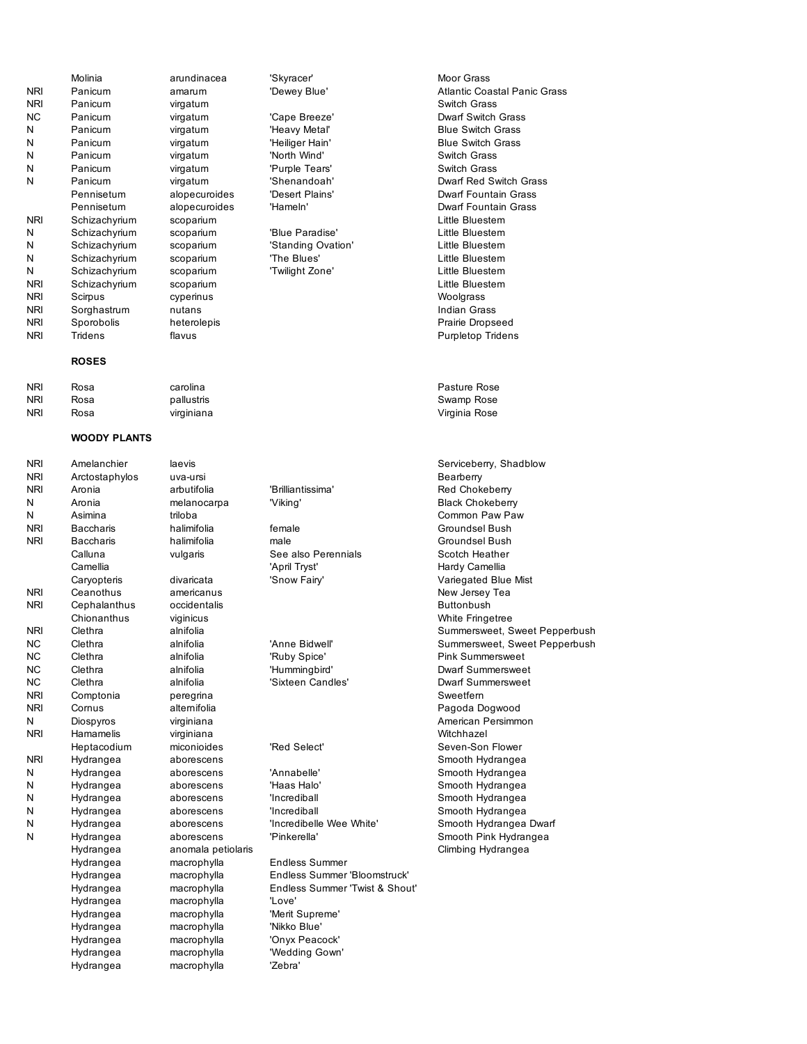|            | Molinia       | arundinacea   | 'Skyracer'         | <b>Moor Grass</b>    |
|------------|---------------|---------------|--------------------|----------------------|
| <b>NRI</b> | Panicum       | amarum        | 'Dewey Blue'       | <b>Atlantic Coa</b>  |
| <b>NRI</b> | Panicum       | virgatum      |                    | Switch Gras          |
| NС         | Panicum       | virgatum      | 'Cape Breeze'      | <b>Dwarf Switc</b>   |
| Ν          | Panicum       | virgatum      | 'Heavy Metal'      | <b>Blue Switch</b>   |
| N          | Panicum       | virgatum      | 'Heiliger Hain'    | <b>Blue Switch</b>   |
| N          | Panicum       | virgatum      | 'North Wind'       | Switch Gras          |
| N          | Panicum       | virgatum      | 'Purple Tears'     | Switch Gras          |
| N          | Panicum       | virgatum      | 'Shenandoah'       | Dwarf Red \          |
|            | Pennisetum    | alopecuroides | 'Desert Plains'    | Dwarf Foun           |
|            | Pennisetum    | alopecuroides | 'Hameln'           | Dwarf Foun           |
| <b>NRI</b> | Schizachyrium | scoparium     |                    | <b>Little Bluest</b> |
| Ν          | Schizachyrium | scoparium     | 'Blue Paradise'    | <b>Little Bluest</b> |
| N          | Schizachyrium | scoparium     | 'Standing Ovation' | <b>Little Bluest</b> |
| N          | Schizachyrium | scoparium     | 'The Blues'        | <b>Little Bluest</b> |
| N          | Schizachyrium | scoparium     | 'Twilight Zone'    | <b>Little Bluest</b> |
| NRI        | Schizachyrium | scoparium     |                    | <b>Little Bluest</b> |
| nri        | Scirpus       | cyperinus     |                    | Woolgrass            |
| nri        | Sorghastrum   | nutans        |                    | Indian Gras          |
| nri        | Sporobolis    | heterolepis   |                    | Prairie Drop         |
| nri        | Tridens       | flavus        |                    | Purpletop T          |

### **ROSES**

NRI Rosa carolina e carolina e carolina e carolina e carolina e carolina e carolina e carolina e carolina e carolina NRI Rosa pallustris pallustris Swamp Rose NRI Rosa virginiana Virginia Rose

### **WOODY PLANTS**

NRI Amelanchier laevis Serviceberry, Shadblow NRI Arctostaphylos uva-ursi **Bearberry** Bearberry NRI Aronia arbutifolia 'Brilliantissima' Red Chokeberry N Aronia melanocarpa 'Viking' **Black Chokeberry** N Asimina triloba triloba Common Paw Paw NRI Baccharis halimifolia female Groundsel Bush NRI Baccharis halimifolia male Groundsel Bush Calluna vulgaris See also Perennials Scotch Heather Camellia **Camellia** <sup>'</sup>April Tryst' Hardy Camellia Caryopteris divaricata 'Snow Fairy' Variegated Blue Mist NRI Ceanothus americanus americanus New Jersey Tea NRI Cephalanthus occidentalis **Buttonbush** Buttonbush Chionanthus viginicus White Fringetree NRI Clethra alnifolia alnifolia Summersweet, Sweet Pepperbush NC Clethra alnifolia 'Anne Bidwell' Summersweet, Sweet Pepperbush NC Clethra alnifolia 'Ruby Spice' Pink Summersweet NC Clethra alnifolia 'Hummingbird' Dwarf Summersweet NC Clethra alnifolia 'Sixteen Candles' Dwarf Summersweet NRI Comptonia peregrina **negrisha negrisha negri dan kemakatan Sweetfern** NRI Cornus alternifolia entranties and the Pagoda Dogwood N Diospyros virginiana American Persimmon NRI Hamamelis virginiana **Witchhazel** Heptacodium miconioides 'Red Select' Seven-Son Flower NRI Hydrangea aborescens aborescens Smooth Hydrangea N Hydrangea aborescens 'Annabelle' Smooth Hydrangea N Hydrangea aborescens 'Haas Halo' Smooth Hydrangea N Hydrangea aborescens 'Incrediball Smooth Hydrangea N Hydrangea aborescens 'Incrediball Smooth Hydrangea N Hydrangea aborescens 'Incredibelle Wee White' Smooth Hydrangea Dwarf N Hydrangea aborescens 'Pinkerella' Smooth Pink Hydrangea Hydrangea anomala petiolaris component climbing Hydrangea anomala petiolaris component climbing Hydrangea Hydrangea macrophylla Endless Summer Hydrangea macrophylla Endless Summer 'Bloomstruck' Hydrangea macrophylla Endless Summer 'Twist & Shout' Hydrangea macrophylla 'Love' Hydrangea macrophylla 'Merit Supreme' Hydrangea macrophylla 'Nikko Blue' Hydrangea macrophylla 'Onyx Peacock' Hydrangea macrophylla 'Wedding Gown' Hydrangea macrophylla 'Zebra'

'Standing Ovation' Little Bluestem The Blues' **Network** Little Bluestem 'Twilight Zone' Little Bluestem

'Dewey Blue' **NRI Panicum amazum amazum amazum Atlantic Coastal Panic Grass** Switch Grass 'Cape Breeze' **National Switch Grass** 'Heavy Metal' **Blue Switch Grass** 'Heiliger Hain' **Blue Switch Grass** 'Shenandoah' Dwarf Red Switch Grass ides 'Desert Plains' Dwarf Fountain Grass Pennisetum alopecuroides 'Hameln' Dwarf Fountain Grass Little Bluestem 'Blue Paradise' **Little Bluestem** Little Bluestem Indian Grass is **NRI Sportseed** enter the enterprise Prairie Dropseed Purpletop Tridens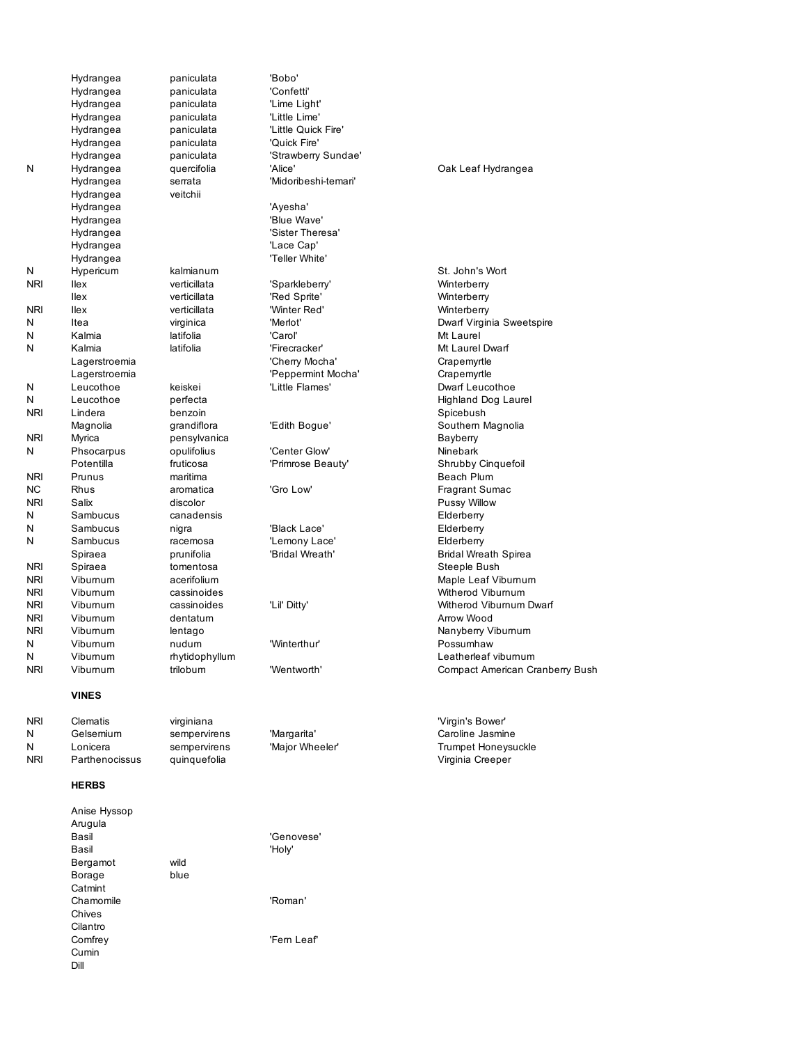|            | Hydrangea      | paniculata     | 'Bobo'                   |                             |
|------------|----------------|----------------|--------------------------|-----------------------------|
|            | Hydrangea      | paniculata     | 'Confetti'               |                             |
|            | Hydrangea      | paniculata     | 'Lime Light'             |                             |
|            | Hydrangea      | paniculata     | 'Little Lime'            |                             |
|            | Hydrangea      | paniculata     | 'Little Quick Fire'      |                             |
|            | Hydrangea      | paniculata     | 'Quick Fire'             |                             |
|            | Hydrangea      | paniculata     | 'Strawberry Sundae'      |                             |
| N          | Hydrangea      | quercifolia    | 'Alice'                  | Oak Leaf Hydrangea          |
|            | Hydrangea      | serrata        | 'Midoribeshi-temari'     |                             |
|            | Hydrangea      | veitchii       |                          |                             |
|            | Hydrangea      |                | 'Ayesha'                 |                             |
|            | Hydrangea      |                | 'Blue Wave'              |                             |
|            | Hydrangea      |                | 'Sister Theresa'         |                             |
|            | Hydrangea      |                | 'Lace Cap'               |                             |
|            | Hydrangea      |                | 'Teller White'           |                             |
| Ν          | Hypericum      | kalmianum      |                          | St. John's Wort             |
| <b>NRI</b> | llex           | verticillata   | 'Sparkleberry'           | Winterberry                 |
|            | llex           | verticillata   |                          |                             |
| nri        | llex           | verticillata   | 'Red Sprite'             | Winterberry                 |
|            |                |                | 'Winter Red'<br>'Merlot' | Winterberry                 |
| N          | Itea<br>Kalmia | virginica      |                          | Dwarf Virginia Sweets       |
| N          |                | latifolia      | 'Carol'                  | Mt Laurel                   |
| N          | Kalmia         | latifolia      | 'Firecracker'            | Mt Laurel Dwarf             |
|            | Lagerstroemia  |                | 'Cherry Mocha'           | Crapemyrtle                 |
|            | Lagerstroemia  |                | 'Peppermint Mocha'       | Crapemyrtle                 |
| N          | Leucothoe      | keiskei        | 'Little Flames'          | Dwarf Leucothoe             |
| N          | Leucothoe      | perfecta       |                          | Highland Dog Laurel         |
| <b>NRI</b> | Lindera        | benzoin        |                          | Spicebush                   |
|            | Magnolia       | grandiflora    | 'Edith Bogue'            | Southern Magnolia           |
| NRI        | Myrica         | pensylvanica   |                          | Bayberry                    |
| N          | Phsocarpus     | opulifolius    | 'Center Glow'            | Ninebark                    |
|            | Potentilla     | fruticosa      | 'Primrose Beauty'        | Shrubby Cinquefoil          |
| NRI        | Prunus         | maritima       |                          | Beach Plum                  |
| ΝC         | Rhus           | aromatica      | 'Gro Low'                | Fragrant Sumac              |
| NRI        | Salix          | discolor       |                          | Pussy Willow                |
| N          | Sambucus       | canadensis     |                          | Elderberry                  |
| N          | Sambucus       | nigra          | 'Black Lace'             | Elderberry                  |
| N          | Sambucus       | racemosa       | 'Lemony Lace'            | Elderberry                  |
|            | Spiraea        | prunifolia     | 'Bridal Wreath'          | <b>Bridal Wreath Spirea</b> |
| NRI        | Spiraea        | tomentosa      |                          | Steeple Bush                |
| NRI        | Viburnum       | acerifolium    |                          | Maple Leaf Viburnum         |
| NRI        | Viburnum       | cassinoides    |                          | Witherod Viburnum           |
| <b>NRI</b> | Viburnum       | cassinoides    | 'Lil' Ditty'             | Witherod Viburnum Dv        |
| NRI        | Viburnum       | dentatum       |                          | Arrow Wood                  |
| NRI        | Viburnum       | lentago        |                          | Nanyberry Viburnum          |
| N          | Viburnum       | nudum          | 'Winterthur'             | Possumhaw                   |
| N          | Viburnum       | rhytidophyllum |                          | Leatherleaf viburnum        |
| nri        | Vibumum        | trilobum       | 'Wentworth'              | Compact American Cra        |
|            |                |                |                          |                             |
|            | <b>VINES</b>   |                |                          |                             |
| NRI        | Clematis       | virginiana     |                          | 'Virgin's Bower'            |
| Ν          | Gelsemium      | sempervirens   | 'Margarita'              | Caroline Jasmine            |
| N          | Lonicera       | sempervirens   | 'Major Wheeler'          | <b>Trumpet Honeysuckle</b>  |
| <b>NRI</b> | Parthenocissus | quinquefolia   |                          | Virginia Creeper            |
|            | <b>HERBS</b>   |                |                          |                             |
|            | Anise Hyssop   |                |                          |                             |

| Kalmia         | latifolia      | 'Carol'      |
|----------------|----------------|--------------|
| Kalmia         | latifolia      | 'Firecracker |
| Lagerstroemia  |                | 'Cherry Mor  |
| Lagerstroemia  |                | 'Peppermin   |
| Leucothoe      | keiskei        | 'Little Flam |
| Leucothoe      | perfecta       |              |
| Lindera        | benzoin        |              |
| Magnolia       | grandiflora    | 'Edith Bogu  |
| Myrica         | pensylvanica   |              |
| Phsocarpus     | opulifolius    | 'Center Glo  |
| Potentilla     | fruticosa      | 'Primrose B  |
| Prunus         | maritima       |              |
| Rhus           | aromatica      | 'Gro Low'    |
| Salix          | discolor       |              |
| Sambucus       | canadensis     |              |
| Sambucus       | nigra          | 'Black Lace  |
| Sambucus       | racemosa       | 'Lemony La   |
| Spiraea        | prunifolia     | 'Bridal Wrea |
| Spiraea        | tomentosa      |              |
| Viburnum       | acerifolium    |              |
| Viburnum       | cassinoides    |              |
| Viburnum       | cassinoides    | 'Lil' Ditty' |
| Viburnum       | dentatum       |              |
| Viburnum       | lentago        |              |
| Viburnum       | nudum          | 'Winterthur' |
| Viburnum       | rhytidophyllum |              |
| Viburnum       | trilobum       | 'Wentworth   |
| <b>VINES</b>   |                |              |
| Clematis       | virginiana     |              |
| Gelsemium      | sempervirens   | 'Margarita'  |
| Lonicera       | sempervirens   | 'Major Whe   |
| Parthenocissus | quinquefolia   |              |
| <b>HERBS</b>   |                |              |
| Anise Hyssop   |                |              |
| Arugula        |                |              |
| Basil          |                | 'Genovese'   |
| Basil          |                | 'Holy'       |
| Bergamot       | wild           |              |
| Borage         | blue           |              |
| Catmint        |                |              |
| Chamomile      |                | 'Roman'      |
| Chives         |                |              |
| Cilantro       |                |              |
|                |                |              |

n Hydrangea (National Media) is a control of the Machine of the Machine of the Machine of the Machine of the M<br>The Machine of the Machine of the Machine of the Machine of the Machine of the Machine of the Machine of the M Ilex verticial verticial verticial verticial verticity of the Vinterberry Vinterberry N Itea virginica 'Merlot' Dwarf Virginia Sweetspire Aocha' **Crapemyrtle** nint Mocha' **Crapemyrtle** lora 'Edith Bogue' Southern Magnolia a **Primrose Beauty'** Shrubby Cinquefoil lia **Spiral 'Bridal Wreath' Bridal Wreath Spirea** NRI Viburnum cassinoides 'Lil' Ditty' Witherod Viburnum Dwarf NRI Viburnum trilobum 'Wentworth' Compact American Cranberry Bush

| Arugula   |      |            |
|-----------|------|------------|
| Basil     |      | 'Genovese  |
| Basil     |      | 'Holy'     |
| Bergamot  | wild |            |
| Borage    | blue |            |
| Catmint   |      |            |
| Chamomile |      | 'Roman'    |
| Chives    |      |            |
| Cilantro  |      |            |
| Comfrey   |      | 'Fem Leaf' |
| Cumin     |      |            |
| Dill      |      |            |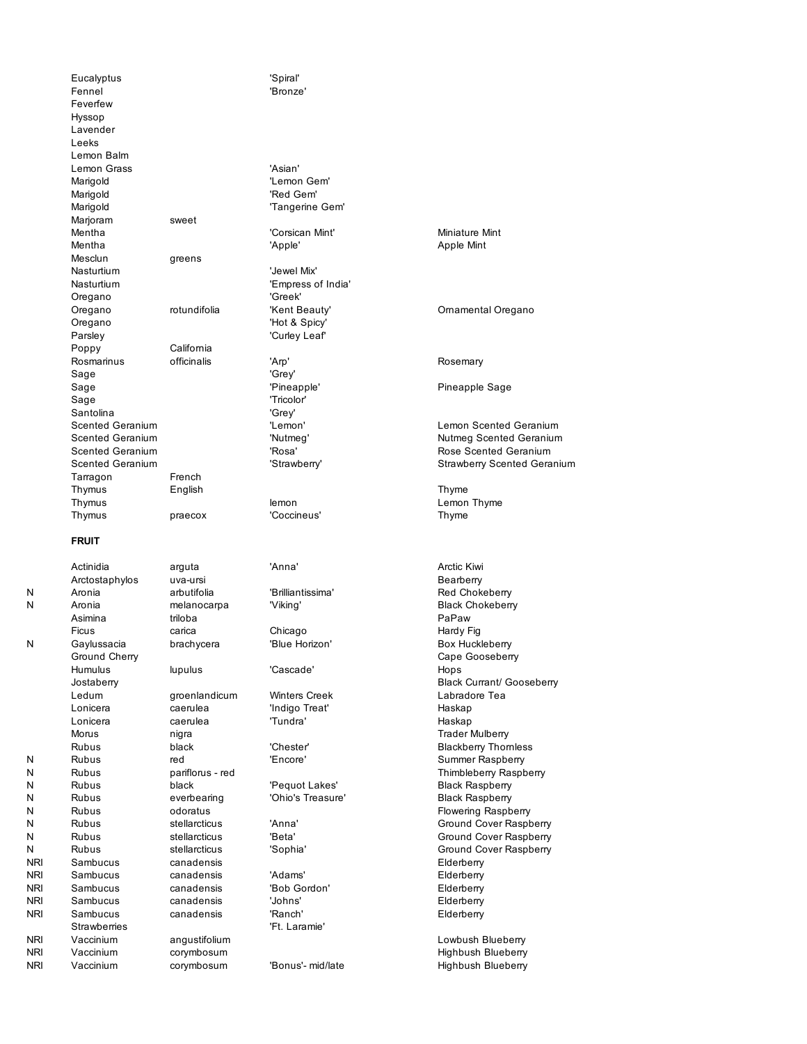Eucalyptus 'Spiral' Fennel 'Bronze' Feverfew Hyssop Lavender Leeks Lemon Balm Lemon Grass 'Asian' Marigold **Marigold Contract Contract Contract Contract Contract Contract Contract Contract Contract Contract Contract Contract Contract Contract Contract Contract Contract Contract Contract Contract Contract Contract Con** Marigold **'Red Gem'** Marigold **Marigold CONFIDENT Tangerine Gem'** Marjoram sweet Mentha 'Corsican Mint' Miniature Mint Mentha **Mentha Community** 'Apple' Apple Mint Mesclun greens Nasturtium **Verwall** Verwel Mix' Nasturtium  $\blacksquare$ Oregano 'Greek' Oregano 'Hot & Spicy' Parsley 'Curley Leaf' Poppy California Rosmarinus officinalis 'Arp' **Rosmarinus** Rosemary Sage 'Grey' Sage 'Pineapple' Pineapple Sage Sage 'Tricolor' Santolina 'Grey' Tarragon French Thymus English Thyme Thymus **and Communist Communist Communist Communist Communist Communist Communist Communist Communist Communist Communist Communist Communist Communist Communist Communist Communist Communist Communist Communist Communist** Thymus praecox 'Coccineus' Thyme **FRUIT** Actinidia arguta 'Anna' Arctic Kiwi Arctostaphylos uva-ursi **Bearberry** N Aronia arbutifolia 'Brilliantissima' Red Chokeberry N Aronia melanocarpa 'Viking' Black Chokeberry Asimina triloba PaPaw Ficus carica Chicago Chicago Hardy Fig N Gaylussacia brachycera 'Blue Horizon' **Box Huckleberry** Ground Cherry **Cape Gooseberry** Cape Gooseberry **Cape Gooseberry** Humulus lupulus 'Cascade' Hops Ledum groenlandicum Winters Creek Labradore Tea Lonicera caerulea 'Indigo Treat' Haskap Lonicera caerulea 'Tundra' Haskap

N Rubus black 'Pequot Lakes' Black Raspberry N Rubus everbearing 'Ohio's Treasure' Black Raspberry NRI Sambucus canadensis Elderberry NRI Sambucus canadensis 'Adams' Elderberry NRI Sambucus canadensis 'Bob Gordon' Elderberry NRI Sambucus canadensis 'Johns' Elderberry NRI Sambucus canadensis 'Ranch' Elderberry Strawberries **Contract Contract Contract Contract Contract Contract Contract Contract Contract Contract Contract Contract Contract Contract Contract Contract Contract Contract Contract Contract Contract Contract Contract C** NRI Vaccinium angustifolium angustifolium angustifolium angustifolium angustifolium angustifolium angustifolium

Morus **nigra** nigra **nigra** Trader Mulberry

Oregano rotundifolia 'Kent Beauty' Ornamental Oregano Scented Geranium 'Lemon' Lemon Scented Geranium Scented Geranium  $N$ <sup>Nutmeg' Nutmeg Nutmeg Scented Geranium</sup> Scented Geranium 'Rosa' Rose Scented Geranium 'Strawberry' Strawberry Scented Geranium Jostaberry Black Currant/ Gooseberry Rubus black 'Chester' Blackberry Thornless N Rubus red 'Encore' Summer Raspberry N Rubus **Pariflorus - red** Thimbleberry Raspberry N Rubus odoratus **Flowering Raspberry** N Rubus stellarcticus 'Anna' Ground Cover Raspberry N Rubus stellarcticus 'Beta' Ground Cover Raspberry N Rubus stellarcticus 'Sophia' Sophia' Ground Cover Raspberry

NRI Vaccinium corymbosum comes comes and the Highbush Blueberry NRI Vaccinium corymbosum 'Bonus'- mid/late Highbush Blueberry